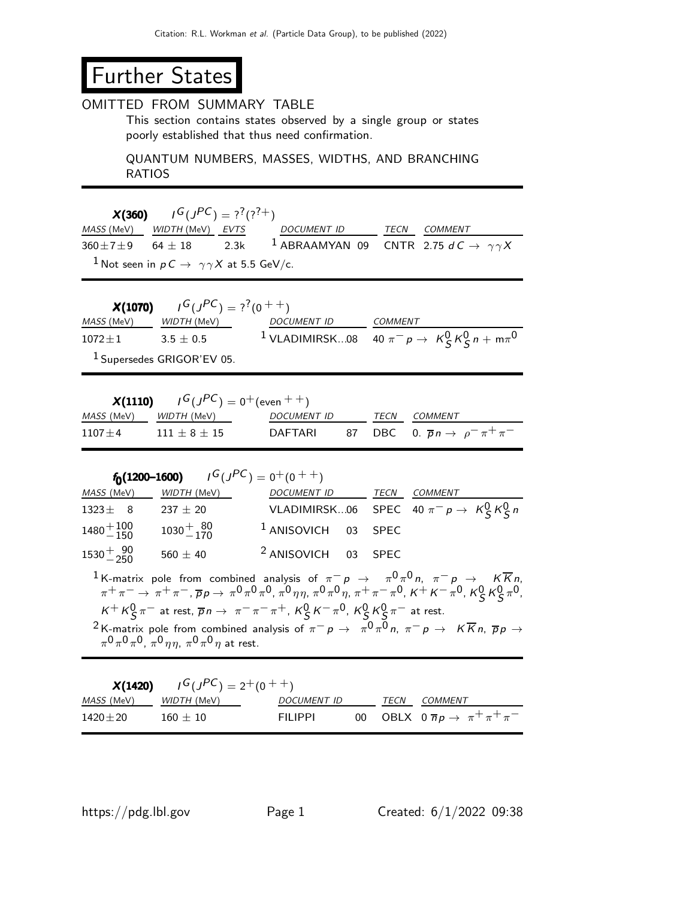## Further States

## OMITTED FROM SUMMARY TABLE

This section contains states observed by a single group or states poorly established that thus need confirmation.

QUANTUM NUMBERS, MASSES, WIDTHS, AND BRANCHING RATIOS

 $X(360)$  $I^G(J^{PC}) = ?^?(?^?+)$ MASS (MeV) WIDTH (MeV) EVTS DOCUMENT ID TECN COMMENT  $360\pm7\pm9$  64  $\pm$  18 2.3k <sup>1</sup> ABRAAMYAN 09 CNTR 2.75 d C  $\rightarrow \gamma\gamma X$ <sup>1</sup> Not seen in  $p C \rightarrow \gamma \gamma X$  at 5.5 GeV/c.

|                   | <b>X(1070)</b> $I^G(J^{PC}) = ?^7(0^{++})$ |                                                                    |         |  |
|-------------------|--------------------------------------------|--------------------------------------------------------------------|---------|--|
| <i>MASS</i> (MeV) | <i>WIDTH (</i> MeV)                        | <i>DOCUMENT ID</i>                                                 | COMMENT |  |
| $1072\pm1$        | $3.5 + 0.5$                                | <sup>1</sup> VLADIMIRSK08 40 $\pi^- p \to K^0_S K^0_S n + m \pi^0$ |         |  |
|                   | <sup>1</sup> Supersedes GRIGOR'EV 05.      |                                                                    |         |  |

|            | <b>X(1110)</b> $I^G(J^{PC}) = 0^+$ (even $++$ ) |             |  |                                                          |
|------------|-------------------------------------------------|-------------|--|----------------------------------------------------------|
|            | <i>MASS</i> (MeV) WIDTH (MeV)                   | DOCUMENT ID |  | <i>TECN COMMENT</i>                                      |
| $1107 + 4$ | $111 + 8 + 15$                                  |             |  | DAFTARI 87 DBC 0. $\overline{p}n \to \rho^- \pi^+ \pi^-$ |

| $f_0(1200-1600)$ $I^G(J^{PC}) = 0^+(0^+)$ |                               |                                |      |                                                  |  |  |  |
|-------------------------------------------|-------------------------------|--------------------------------|------|--------------------------------------------------|--|--|--|
|                                           | <i>MASS</i> (MeV) WIDTH (MeV) | DOCUMENT ID                    | TECN | <i>COMMENT</i>                                   |  |  |  |
| $1323 \pm 8$                              | 237 $\pm$ 20                  |                                |      | VLADIMIRSK06 SPEC 40 $\pi^- p \to K^0_S K^0_S n$ |  |  |  |
| $1480 + 100$<br>$-150$                    | $1030 + \frac{80}{170}$       | <sup>1</sup> ANISOVICH 03 SPEC |      |                                                  |  |  |  |
| $1530^{+90}_{-250}$                       | $560 \pm 40$                  | <sup>2</sup> ANISOVICH 03 SPEC |      |                                                  |  |  |  |
|                                           |                               |                                |      |                                                  |  |  |  |

 $^1$ K-matrix pole from combined analysis of  $\pi^- \rho$   $\rightarrow$   $\pi^0 \pi^0$ n,  $\pi^- \rho$   $\rightarrow$   $\quad$  K $\overline{K}$ n,  $\pi^+\pi^-\to\pi^+\pi^-$  ,  $\overline{p}_{\cal P}\to\,\pi^0\pi^0\pi^0$  ,  $\pi^0\eta\eta$  ,  $\pi^0\pi^0\eta$  ,  $\pi^+\pi^-\pi^0$  ,  $\kappa^+$   $\kappa^-\pi^0$  ,  $\kappa^0_S\,\kappa^0_S\,\pi^0$  ,  $K^+ K^0_S \pi^-$  at rest,  $\overline{p} n \to \pi^- \pi^- \pi^+$ ,  $K^0_S K^- \pi^0$ ,  $K^0_S K^0_S \pi^-$  at rest.  $^2$ K-matrix pole from combined analysis of  $\pi^- p\, \to \, \pi^0 \pi^0\pi$ ,  $\pi^- p\, \to \, \, K\overline{K}$ n,  $\overline{p} \, p\, \to \, \pi^0\pi^0$  $\pi^{\mathsf{0}}\pi^{\mathsf{0}}\pi^{\mathsf{0}},\,\pi^{\mathsf{0}}\eta\eta,\,\pi^{\mathsf{0}}\pi^{\mathsf{0}}\eta$  at rest.

|                               | <b>X(1420)</b> $I^G(J^{PC}) = 2^+(0^{++})$ |             |  |                                                          |
|-------------------------------|--------------------------------------------|-------------|--|----------------------------------------------------------|
| <i>MASS</i> (MeV) WIDTH (MeV) |                                            | DOCUMENT ID |  | <i>TECN COMMENT</i>                                      |
| $1420 \pm 20$                 | $160 + 10$                                 | FII IPPI    |  | 00 OBLX $0 \overline{p} p \rightarrow \pi^+ \pi^+ \pi^-$ |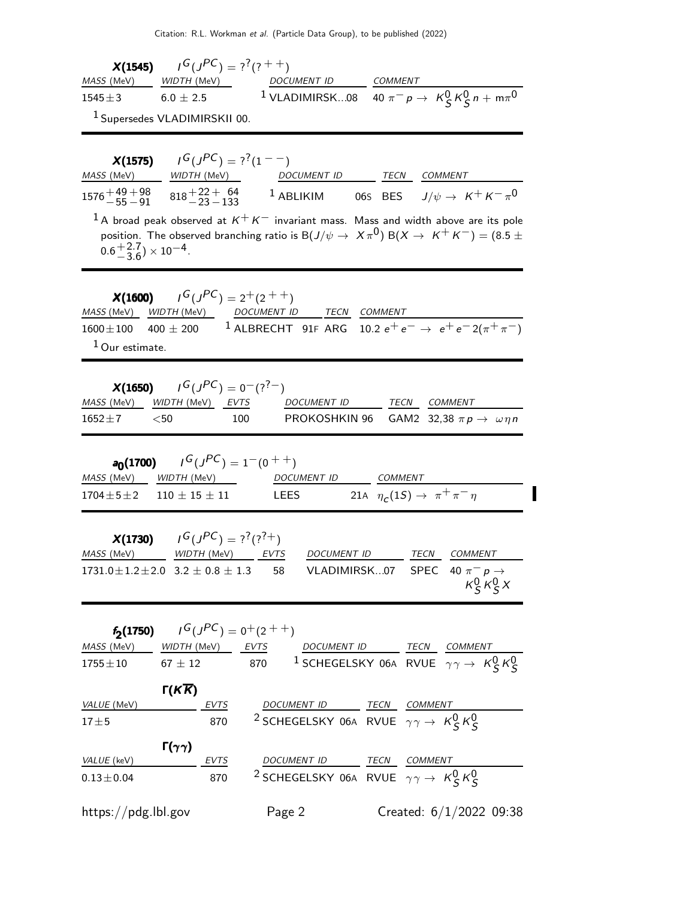|                                                            | <b>X(1545)</b> $I^G(J^{PC}) = ?^7(?^{++})$                    |                                                                                                                                                |                                                                                                                                               |
|------------------------------------------------------------|---------------------------------------------------------------|------------------------------------------------------------------------------------------------------------------------------------------------|-----------------------------------------------------------------------------------------------------------------------------------------------|
|                                                            | $6.0 \pm 2.5$                                                 |                                                                                                                                                | MASS (MeV) WIDTH (MeV) DOCUMENT ID COMMENT<br>1545±3 6.0 ± 2.5 1 VLADIMIRSK08 40 $\pi^- p \rightarrow K^0_S K^0_S n + m\pi^0$                 |
| <sup>1</sup> Supersedes VLADIMIRSKII 00.                   |                                                               |                                                                                                                                                |                                                                                                                                               |
|                                                            |                                                               |                                                                                                                                                |                                                                                                                                               |
|                                                            | <b>X(1575)</b> $I^G(J^{PC}) = ?^7(1^{--})$                    |                                                                                                                                                |                                                                                                                                               |
|                                                            |                                                               |                                                                                                                                                | $1576 + \frac{49+98}{-55-91}$ $818 + \frac{22+64}{-23-133}$ 1 ABLIKIM 06S BES $J/\psi \rightarrow K^+ K^- \pi^0$                              |
|                                                            |                                                               |                                                                                                                                                | $^1$ A broad peak observed at $K^+K^-$ invariant mass. Mass and width above are its pole                                                      |
| $0.6\frac{+2.7}{-3.6} \times 10^{-4}$ .                    |                                                               |                                                                                                                                                | position. The observed branching ratio is B $(J/\psi\to~X\pi^0)$ B $(X\to~K^+K^-)=(8.5\pm0.5)$                                                |
| $1$ Our estimate.                                          | <b>X(1600)</b> $I^G(J^{PC}) = 2^+(2^{++})$                    | MASS (MeV) WIDTH (MeV) DOCUMENT ID TECN COMMENT                                                                                                | 1600 $\pm$ 100 400 $\pm$ 200 <sup>1</sup> ALBRECHT 91F ARG 10.2 $e^+e^- \rightarrow e^+e^-2(\pi^+\pi^-)$                                      |
| MASS (MeV) WIDTH (MeV) EVTS<br>$<$ 50 $\,$<br>$1652 \pm 7$ | <b>X(1650)</b> $I^G(J^{PC}) = 0^-(?^7)$<br>100                |                                                                                                                                                | DOCUMENT ID TECN COMMENT<br>PROKOSHKIN 96 GAM2 32,38 $\pi p \rightarrow \omega \eta n$                                                        |
|                                                            | <b>a<sub>0</sub>(1700)</b> $I^G(J^{PC}) = 1^-(0^+)$           | MASS (MeV) WIDTH (MeV) DOCUMENT ID COMMENT<br>1704 $\pm$ 5 $\pm$ 2 110 $\pm$ 15 $\pm$ 11 LEES 21A $\eta_c$ (1S) $\rightarrow \pi^+ \pi^- \eta$ |                                                                                                                                               |
| MASS (MeV)                                                 | <b>X(1730)</b> $I^G(J^{PC}) = ?^7( ?^7+)$<br>WIDTH (MeV) EVTS | DOCUMENT ID                                                                                                                                    | TECN<br><b>COMMENT</b><br>1731.0 $\pm$ 1.2 $\pm$ 2.0 3.2 $\pm$ 0.8 $\pm$ 1.3 58 VLADIMIRSK07 SPEC 40 $\pi^- p \rightarrow$<br>$K_S^0 K_S^0 X$ |
|                                                            | <b>f<sub>2</sub>(1750)</b> $I^G(J^{PC}) = 0^+(2^{++})$        |                                                                                                                                                |                                                                                                                                               |
|                                                            |                                                               |                                                                                                                                                | MASS (MeV) WIDTH (MeV) EVTS DOCUMENT ID TECN COMMENT<br>1755±10 67 ± 12 870 1 SCHEGELSKY 06A RVUE $\gamma \gamma \rightarrow K_S^0 K_S^0$     |
|                                                            | $Γ(K\overline{K})$                                            |                                                                                                                                                |                                                                                                                                               |
| $\frac{\text{VALUE (MeV)}}{17+5}$                          |                                                               | $-\frac{EVTS}{870}$ $\frac{DOCUMENT ID}{2$ SCHEGELSKY 06A RVUE $\gamma\gamma \to K_S^0 K_S^0$                                                  |                                                                                                                                               |
| $17 + 5$                                                   |                                                               |                                                                                                                                                |                                                                                                                                               |
|                                                            | $\Gamma(\gamma\gamma)$                                        |                                                                                                                                                |                                                                                                                                               |
|                                                            |                                                               | $\frac{\text{VALUE (keV)}}{0.13 \pm 0.04}$ EVTS DOCUMENT ID TECN COMMENT<br>870 2 SCHEGELSKY 06A RVUE $\gamma \gamma \rightarrow K_S^0 K_S^0$  |                                                                                                                                               |
|                                                            |                                                               |                                                                                                                                                |                                                                                                                                               |
| https://pdg.lbl.gov                                        |                                                               | Page 2                                                                                                                                         | Created: $6/1/2022$ 09:38                                                                                                                     |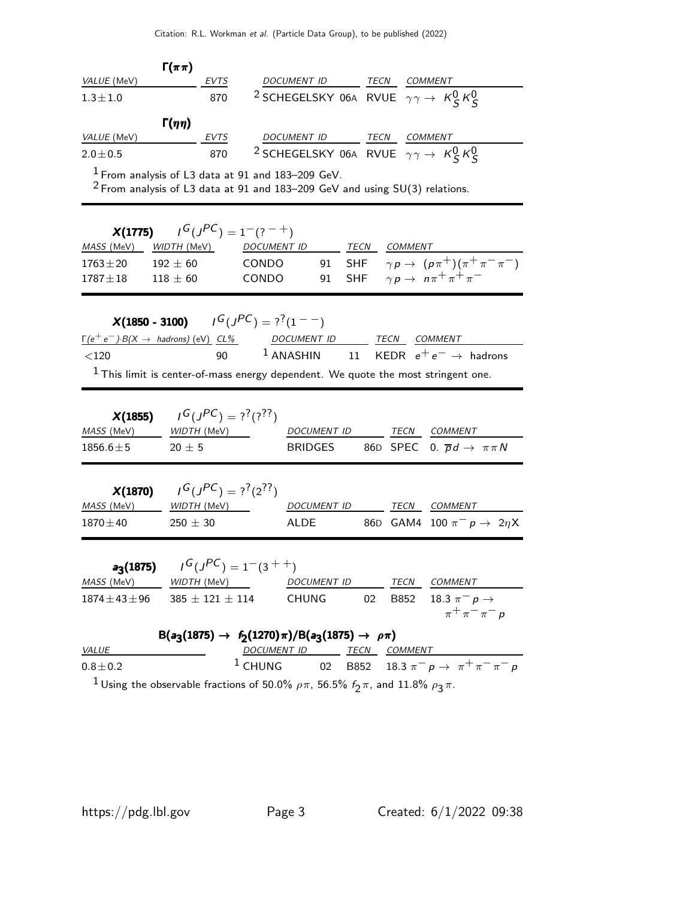| VALUE (MeV)                                           | $\Gamma(\pi\pi)$                                       |                                                                                     |                     |                                                     |
|-------------------------------------------------------|--------------------------------------------------------|-------------------------------------------------------------------------------------|---------------------|-----------------------------------------------------|
| $1.3 \pm 1.0$                                         | EVTS<br>870                                            | $2\frac{DOCUMENT ID}{SCHEGELSKY 06A}$ RVUE $\gamma\gamma \rightarrow K_S^0 K_S^0$   |                     |                                                     |
|                                                       |                                                        |                                                                                     |                     |                                                     |
| VALUE (MeV)                                           | $\Gamma(\eta\eta)$<br><b>EVTS</b>                      | DOCUMENT ID                                                                         | <b>TECN COMMENT</b> |                                                     |
| $2.0 \pm 0.5$                                         | 870                                                    | <sup>2</sup> SCHEGELSKY 06A RVUE $\gamma \gamma \rightarrow K^0_S K^0_S$            |                     |                                                     |
|                                                       | $1$ From analysis of L3 data at 91 and 183–209 GeV.    |                                                                                     |                     |                                                     |
|                                                       |                                                        | $2$ From analysis of L3 data at 91 and 183–209 GeV and using SU(3) relations.       |                     |                                                     |
|                                                       | $I^G(J^{PC}) = 1^-(?^{-+})$                            |                                                                                     |                     |                                                     |
| X(1775)<br>MASS (MeV)                                 | <i>WIDTH (M</i> eV)                                    | DOCUMENT ID                                                                         | TECN COMMENT        |                                                     |
| $1763 \pm 20$                                         | $192 \pm 60$                                           | <b>CONDO</b>                                                                        |                     | 91 SHF $\gamma p \to (p \pi^+) (\pi^+ \pi^- \pi^-)$ |
| $1787 + 18$                                           | $118 \pm 60$                                           | CONDO<br>91                                                                         | <b>SHF</b>          | $\gamma p \rightarrow n \pi^+ \pi^+ \pi^-$          |
|                                                       |                                                        |                                                                                     |                     |                                                     |
|                                                       | <b>X(1850 - 3100)</b> $I^G(J^{PC}) = ?^7(1^{--})$      |                                                                                     |                     |                                                     |
| $\Gamma(e^+e^-) B(X \to \text{ hadrons})$ (eV) $CL\%$ |                                                        | DOCUMENT ID TECN COMMENT                                                            |                     |                                                     |
| < 120                                                 | 90                                                     | $1$ ANASHIN 11                                                                      |                     | KEDR $e^+e^- \rightarrow$ hadrons                   |
|                                                       |                                                        | $1$ This limit is center-of-mass energy dependent. We quote the most stringent one. |                     |                                                     |
|                                                       |                                                        |                                                                                     |                     |                                                     |
| X(1855)                                               | $G(J^{PC}) = ?^{?}(?^{?})$                             |                                                                                     |                     |                                                     |
| MASS (MeV)                                            | WIDTH (MeV)______                                      | <b>DOCUMENT ID</b>                                                                  |                     | TECN COMMENT                                        |
| $1856.6 \pm 5$                                        | $20 \pm 5$                                             | <b>BRIDGES</b>                                                                      |                     | 86D SPEC 0. $\overline{p}d \rightarrow \pi \pi N$   |
|                                                       |                                                        |                                                                                     |                     |                                                     |
| X(1870)<br>MASS (MeV)                                 | $I^G(J^{PC}) = ?^? (2^{??})$<br>WIDTH (MeV)            | <b>DOCUMENT ID</b>                                                                  | TECN                | <b>COMMENT</b>                                      |
| $1870 \pm 40$                                         | $250 \pm 30$                                           | ALDE                                                                                |                     | 86D GAM4 100 $\pi^- p \to 2\eta X$                  |
|                                                       |                                                        |                                                                                     |                     |                                                     |
|                                                       | <b>a<sub>3</sub>(1875)</b> $I^G(J^{PC}) = 1^-(3^{++})$ |                                                                                     |                     |                                                     |
| MASS (MeV)                                            | WIDTH (MeV)                                            | DOCUMENT ID                                                                         |                     | TECN COMMENT                                        |
|                                                       | $1874 \pm 43 \pm 96$ 385 $\pm$ 121 $\pm$ 114           | <b>CHUNG</b>                                                                        | 02                  | B852 18.3 $\pi^- p \to$                             |
|                                                       |                                                        |                                                                                     |                     | $\pi^+\pi^-\pi^-$ p                                 |
|                                                       |                                                        | $B(a_3(1875) \rightarrow f_2(1270)\pi)/B(a_3(1875) \rightarrow \rho\pi)$            |                     |                                                     |
| <b>VALUE</b>                                          |                                                        | DOCUMENT ID TECN COMMENT                                                            |                     |                                                     |
| $0.8 + 0.2$<br>$\blacksquare$                         |                                                        | $1$ CHUNG                                                                           |                     | 02 B852 18.3 $\pi^- p \to \pi^+ \pi^- \pi^- p$      |

 $^1$ Using the observable fractions of 50.0%  $\rho \pi$ , 56.5%  $f_2 \pi$ , and 11.8%  $\rho_3 \pi$ .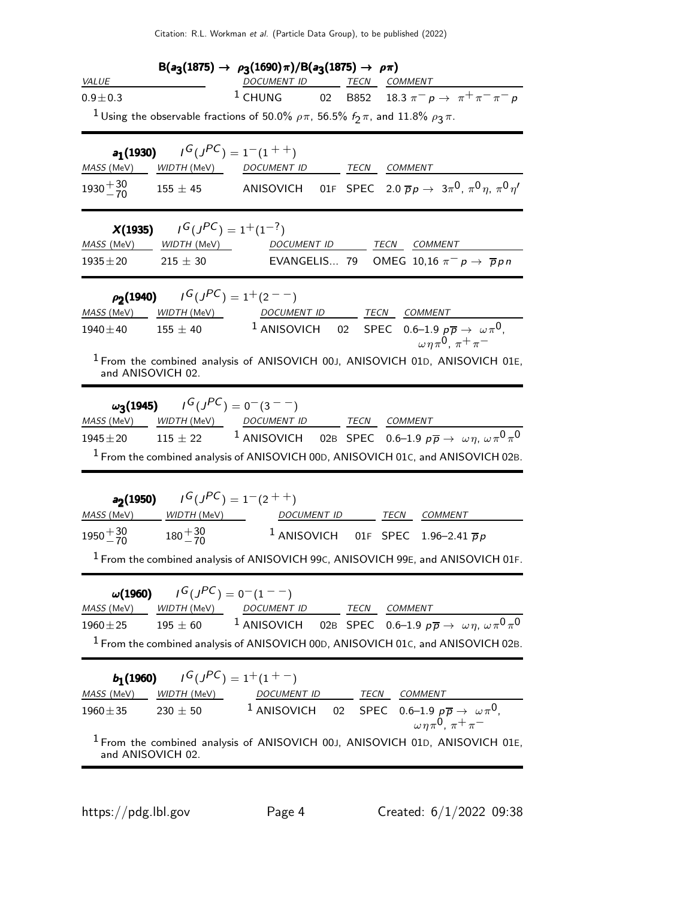| $B(a_3(1875) \rightarrow \rho_3(1690)\pi)/B(a_3(1875) \rightarrow \rho\pi)$ |                                                                                                              |                    |  |             |                                                                                          |  |
|-----------------------------------------------------------------------------|--------------------------------------------------------------------------------------------------------------|--------------------|--|-------------|------------------------------------------------------------------------------------------|--|
| <b>VALUE</b>                                                                |                                                                                                              | <i>DOCUMENT ID</i> |  | <b>TECN</b> | COMMENT                                                                                  |  |
| $0.9 + 0.3$                                                                 |                                                                                                              |                    |  |             | <sup>1</sup> CHUNG 02 B852 18.3 $\pi^- p \to \pi^+ \pi^- \pi^- p$                        |  |
|                                                                             | <sup>1</sup> Using the observable fractions of 50.0% $\rho \pi$ , 56.5% $f_2 \pi$ , and 11.8% $\rho_3 \pi$ . |                    |  |             |                                                                                          |  |
|                                                                             | <b>a<sub>1</sub>(1930)</b> $I^G(J^{PC}) = 1^-(1^{++})$                                                       |                    |  |             |                                                                                          |  |
| MASS (MeV)                                                                  | WIDTH (MeV)                                                                                                  | <b>DOCUMENT ID</b> |  | TECN        | COMMENT                                                                                  |  |
|                                                                             | $1930 + \frac{30}{70}$ 155 ± 45                                                                              |                    |  |             | ANISOVICH 01F SPEC 2.0 $\overline{p}p \rightarrow 3\pi^0$ , $\pi^0 \eta$ , $\pi^0 \eta'$ |  |

| MASS (MeV)                  | <b>X(1935)</b> $I^G(J^{PC}) = 1^+(1^{-?})$<br><i>WIDTH (M</i> eV)               | DOCUMENT ID<br>TECN<br>COMMENT                                                                                                                                                                                                                          |
|-----------------------------|---------------------------------------------------------------------------------|---------------------------------------------------------------------------------------------------------------------------------------------------------------------------------------------------------------------------------------------------------|
| $1935 \pm 20$               | $215 \pm 30$                                                                    | EVANGELIS 79<br>OMEG 10,16 $\pi^-$ p $\rightarrow \overline{p}$ p n                                                                                                                                                                                     |
|                             | $\rho_2(1940)$ $I^G(J^{PC}) = 1^+(2^{--})$                                      | WIDTH (MeV) <b>DOCUMENT ID</b> TECN COMMENT                                                                                                                                                                                                             |
| MASS (MeV)<br>$1940 \pm 40$ | $155 \pm 40$                                                                    | <sup>1</sup> ANISOVICH 02 SPEC 0.6-1.9 $p\overline{p} \rightarrow \omega \pi^0$ ,<br>$\omega \eta \pi^0$ , $\pi^+ \pi^-$                                                                                                                                |
| and ANISOVICH 02.           |                                                                                 | <sup>1</sup> From the combined analysis of ANISOVICH 00J, ANISOVICH 01D, ANISOVICH 01E,                                                                                                                                                                 |
| MASS (MeV)                  | $\omega_3(1945)$ $I^G(J^{PC}) = 0(3^{--})$                                      | WIDTH (MeV) DOCUMENT ID TECN COMMENT                                                                                                                                                                                                                    |
| $1945 \pm 20$               | $115 \pm 22$                                                                    | <sup>1</sup> ANISOVICH 02B SPEC 0.6–1.9 $p\overline{p} \rightarrow \omega \eta, \omega \pi^0 \pi^0$                                                                                                                                                     |
|                             |                                                                                 | <sup>1</sup> From the combined analysis of ANISOVICH 00D, ANISOVICH 01c, and ANISOVICH 02B.                                                                                                                                                             |
| $1950 + \frac{30}{70}$      | <b>a<sub>2</sub>(1950)</b> $I^G(J^{PC}) = 1^-(2^{++})$<br>$180 + \frac{30}{70}$ | MASS (MeV) _____ WIDTH (MeV) __________________DOCUMENT ID __________TECN ___COMMENT<br><sup>1</sup> ANISOVICH 01F SPEC 1.96-2.41 $\overline{p}p$<br>$^1$ From the combined analysis of ANISOVICH 99 $c$ , ANISOVICH 99 $\epsilon$ , and ANISOVICH 01F. |
| MASS (MeV)<br>$1960 \pm 25$ | $\omega(1960)$ $I^G(J^{PC}) = 0(1 - 1)$<br>$195 \pm 60$                         | WIDTH (MeV) DOCUMENT ID TECN COMMENT<br><sup>1</sup> ANISOVICH 02B SPEC 0.6-1.9 $p\overline{p} \rightarrow \omega \eta, \omega \pi^0 \pi^0$<br>$1$ From the combined analysis of ANISOVICH 00D, ANISOVICH 01C, and ANISOVICH 02B.                       |
| MASS (MeV)                  | <b>b</b> <sub>1</sub> (1960) $I^G(J^{PC}) = 1^+(1^+)$<br>$WIDTH$ (MeV)          | DOCUMENT ID TECN COMMENT                                                                                                                                                                                                                                |
| $1960 \pm 35$               | $230 \pm 50$                                                                    | $1$ ANISOVICH<br>02 SPEC 0.6–1.9 $p\overline{p} \rightarrow \omega \pi^0$ ,<br>$\omega \eta \pi^0$ , $\pi^+ \pi^-$                                                                                                                                      |
| and ANISOVICH 02.           |                                                                                 | <sup>1</sup> From the combined analysis of ANISOVICH 00J, ANISOVICH 01D, ANISOVICH 01E,                                                                                                                                                                 |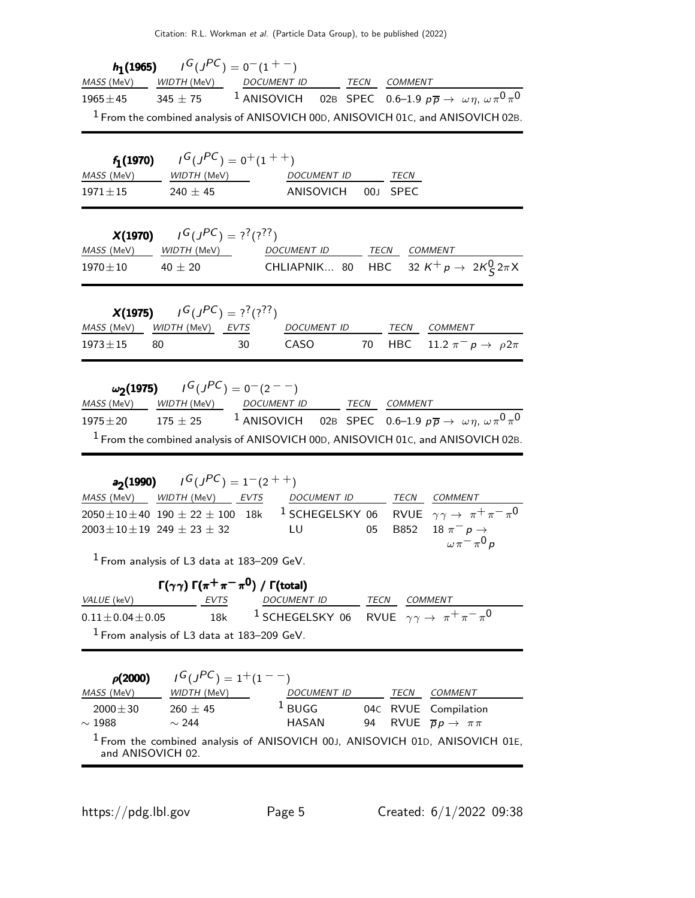|             | <b>h</b> <sub>1</sub> (1965) $I^G(J^{PC}) = 0^-(1^+)$ |                                                                                                                 |             |         |  |
|-------------|-------------------------------------------------------|-----------------------------------------------------------------------------------------------------------------|-------------|---------|--|
|             |                                                       | MASS (MeV) WIDTH (MeV) DOCUMENT ID                                                                              | <b>TECN</b> | COMMENT |  |
| $1965\pm45$ |                                                       | 345 ± 75 <sup>1</sup> ANISOVICH 02B SPEC 0.6–1.9 $p\overline{p} \rightarrow \omega \eta$ , $\omega \pi^0 \pi^0$ |             |         |  |
|             |                                                       | <sup>1</sup> From the combined analysis of ANISOVICH 00D, ANISOVICH 01C, and ANISOVICH 02B.                     |             |         |  |

|                   | <b>f<sub>1</sub>(1970)</b> $I^G(J^{PC}) = 0^+(1^{++})$ |                    |      |
|-------------------|--------------------------------------------------------|--------------------|------|
| <i>MASS</i> (MeV) | <i>WIDTH (</i> MeV)                                    | <b>DOCUMENT ID</b> | TECN |
| $1971 + 15$       | $240 + 45$                                             | ANISOVICH 00J SPEC |      |

|             | <b>X(1970)</b> $I^G(J^{PC}) = ?^7(?)^7$ |             |                                                       |
|-------------|-----------------------------------------|-------------|-------------------------------------------------------|
|             |                                         | DOCUMENT ID | TECN COMMENT                                          |
| $1970\pm10$ | $40 + 20$                               |             | CHLIAPNIK 80 HBC 32 $K^+ p \rightarrow 2K^0_S 2\pi X$ |

|               | <b>X(1975)</b> $I^G(J^{PC}) = ?^7(?)^7$ |      |             |      |                                     |
|---------------|-----------------------------------------|------|-------------|------|-------------------------------------|
|               | <i>MASS</i> (MeV) WIDTH (MeV) EVTS      |      | DOCUMENT ID | TECN | COMMENT                             |
| $1973 \pm 15$ | 80.                                     | -30- | CASO.       |      | 70 HBC 11.2 $\pi^- p \to \rho 2\pi$ |

|  | $ω2(1975)$ $IG(JPC) = 0-(2-)$                                                                           |  |  |
|--|---------------------------------------------------------------------------------------------------------|--|--|
|  | MASS (MeV) WIDTH (MeV) DOCUMENT ID TECN COMMENT                                                         |  |  |
|  | 1975±20 175 ± 25 <sup>1</sup> ANISOVICH 02B SPEC 0.6-1.9 $p\bar{p} \to \omega \eta, \omega \pi^0 \pi^0$ |  |  |
|  | <sup>1</sup> From the combined analysis of ANISOVICH 00D, ANISOVICH 01C, and ANISOVICH 02B.             |  |  |

| <b>a<sub>2</sub>(1990)</b> $I^G(J^{PC}) = 1^-(2^{++})$ |                                              |  |                                                                                                                               |
|--------------------------------------------------------|----------------------------------------------|--|-------------------------------------------------------------------------------------------------------------------------------|
|                                                        | MASS (MeV) WIDTH (MeV) EVTS DOCUMENT ID TECN |  | COMMENT                                                                                                                       |
|                                                        |                                              |  | $2050 \pm 10 \pm 40$ 190 $\pm$ 22 $\pm$ 100 18k <sup>1</sup> SCHEGELSKY 06 RVUE $\gamma \gamma \rightarrow \pi^+ \pi^- \pi^0$ |
| $2003 \pm 10 \pm 19$ 249 $\pm$ 23 $\pm$ 32             | LU 1999 - LU                                 |  | 05 B852 18 $\pi^-$ p $\to$                                                                                                    |
|                                                        |                                              |  | $\omega \pi = \pi^0 p$                                                                                                        |

1 From analysis of L3 data at 183–209 GeV.

|                                              |      | $\Gamma(\gamma\gamma) \Gamma(\pi^+\pi^-\pi^0)$ / $\Gamma(\text{total})$           |      |                |
|----------------------------------------------|------|-----------------------------------------------------------------------------------|------|----------------|
| <i>VALUE</i> (keV)                           | EVTS | <i>DOCUMENT ID</i>                                                                | TECN | <i>COMMENT</i> |
| $0.11 \pm 0.04 \pm 0.05$                     |      | 18k <sup>1</sup> SCHEGELSKY 06 RVUE $\gamma \gamma \rightarrow \pi^+ \pi^- \pi^0$ |      |                |
| $1$ From analysis of L3 data at 183-209 GeV. |      |                                                                                   |      |                |

| $\rho(2000)$      | $I^G(J^{PC}) = 1^+(1^{--})$                                                             |                    |    |      |                                          |
|-------------------|-----------------------------------------------------------------------------------------|--------------------|----|------|------------------------------------------|
| MASS (MeV)        | WIDTH (MeV)                                                                             | <b>DOCUMENT ID</b> |    | TECN | <i>COMMENT</i>                           |
| $2000 \pm 30$     | $260 + 45$                                                                              | $1$ BUGG           |    |      | 04C RVUE Compilation                     |
| $\sim 1988$       | $\sim$ 244                                                                              | HASAN              | 94 |      | RVUE $\overline{p}p \rightarrow \pi \pi$ |
| and ANISOVICH 02. | <sup>1</sup> From the combined analysis of ANISOVICH 00J, ANISOVICH 01D, ANISOVICH 01E, |                    |    |      |                                          |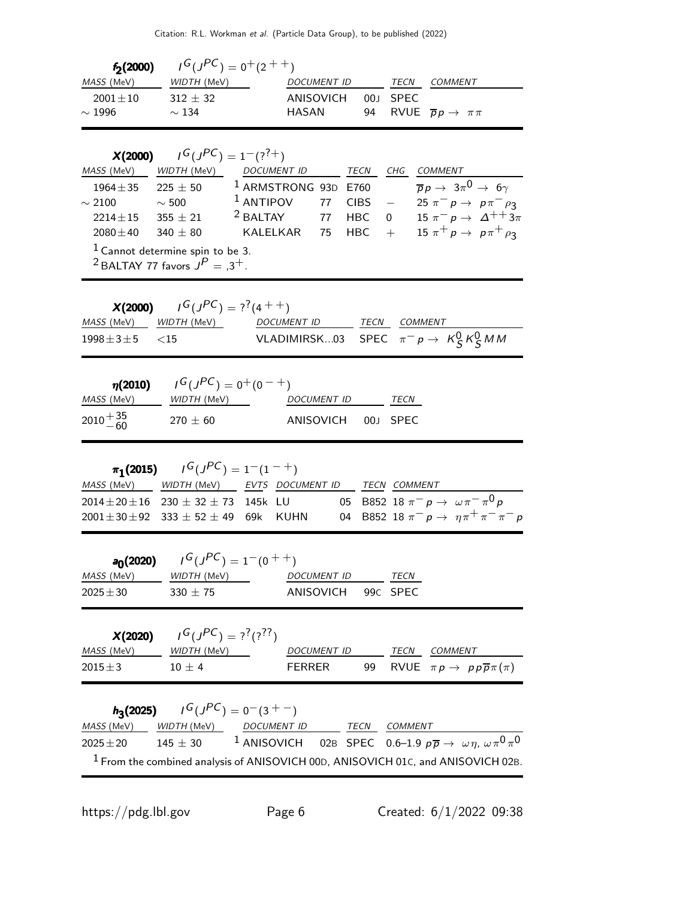| $f_2(2000)$                | $\sqrt{G(JPC)} = 0^+(2^{++})$ |                    |          |                                             |
|----------------------------|-------------------------------|--------------------|----------|---------------------------------------------|
| <i>MASS</i> (MeV)          | <i>WIDTH (</i> MeV)           | <i>DOCUMENT ID</i> | TECN     | <i>COMMENT</i>                              |
| $2001 + 10$<br>$\sim$ 1996 | $312 + 32$<br>$\sim$ 134      | ANISOVICH<br>HASAN | 00J SPEC | 94 RVUE $\overline{p}p \rightarrow \pi \pi$ |

| X(2000)                                                                             | $I^G(J^{PC}) = 1^-(?^{7+})$ |                     |    |             |                |                                                        |
|-------------------------------------------------------------------------------------|-----------------------------|---------------------|----|-------------|----------------|--------------------------------------------------------|
| MASS (MeV)                                                                          | WIDTH (MeV)                 | <b>DOCUMENT ID</b>  |    | TECN        | CHG            | COMMENT                                                |
| $1964 \pm 35$                                                                       | $225 + 50$                  | $1$ ARMSTRONG 93D   |    | F760        |                | $\overline{p}p \rightarrow 3\pi^0 \rightarrow 6\gamma$ |
| $\sim$ 2100                                                                         | $\sim$ 500                  | $1$ ANTIPOV         | 77 | <b>CIBS</b> |                | $25 \pi^{-} p \to p \pi^{-} \rho_3$                    |
| $2214 + 15$                                                                         | $355 + 21$                  | <sup>2</sup> BALTAY | 77 | <b>HBC</b>  | $\overline{0}$ | 15 $\pi^ p \to \Delta^{++} 3\pi$                       |
| $2080 \pm 40$                                                                       | $340 + 80$                  | KAI FI KAR          | 75 | <b>HBC</b>  |                | 15 $\pi^+ p \to p \pi^+ \rho_3$                        |
| $1$ Cannot determine spin to be 3.<br><sup>2</sup> BALTAY 77 favors $J^P = 0.3^+$ . |                             |                     |    |             |                |                                                        |
|                                                                                     |                             |                     |    |             |                |                                                        |

|                        | <b>X(2000)</b> $I^G(J^{PC}) = ?^7(4^{++})$ |             |                                                 |
|------------------------|--------------------------------------------|-------------|-------------------------------------------------|
|                        | MASS (MeV) WIDTH (MeV)                     | DOCUMENT ID | TECN COMMENT                                    |
| $1998 \pm 3 \pm 5$ <15 |                                            |             | VLADIMIRSK03 SPEC $\pi^- p \to K_S^0 K_S^0 M M$ |

| $\eta(2010)$       | $I^G(J^{PC}) = 0^+(0^{-+})$ |                    |      |
|--------------------|-----------------------------|--------------------|------|
| <i>MASS</i> (MeV)  | <i>WIDTH (</i> MeV)         | DOCUMENT ID        | TECN |
| $2010^{+35}_{-60}$ | $270 + 60$                  | ANISOVICH 00J SPEC |      |

| $\pi_1$ (2015) $I^G(J^{PC}) = 1^-(1^{-+})$           |  |  |                                               |                                                   |
|------------------------------------------------------|--|--|-----------------------------------------------|---------------------------------------------------|
| MASS (MeV) WIDTH (MeV) EVTS DOCUMENT ID TECN COMMENT |  |  |                                               |                                                   |
| $2014 \pm 20 \pm 16$ 230 $\pm$ 32 $\pm$ 73 145k LU   |  |  | 05 B852 18 $\pi^- p \to \omega \pi^- \pi^0 p$ |                                                   |
| $2001 \pm 30 \pm 92$ 333 $\pm$ 52 $\pm$ 49 69k KUHN  |  |  |                                               | 04 B852 18 $\pi^- p \to \eta \pi^+ \pi^- \pi^- p$ |

|                               | <b>a<sub>0</sub>(2020)</b> $I^G(J^{PC}) = 1^-(0^+)$ |                    |  |      |
|-------------------------------|-----------------------------------------------------|--------------------|--|------|
| <i>MASS</i> (MeV) WIDTH (MeV) |                                                     | <i>DOCUMENT ID</i> |  | TECN |
| $2025 + 30$                   | $330 + 75$                                          | ANISOVICH 99C SPEC |  |      |

| X(2020)            | $G(J^{PC}) = ?^{?}(?)^{??}$ |             |      |                                                       |
|--------------------|-----------------------------|-------------|------|-------------------------------------------------------|
| <i>MASS (</i> MeV) | <i>WIDTH (</i> MeV)         | DOCUMENT ID | TECN | <i>COMMENT</i>                                        |
| $2015 + 3$         | $10 + 4$                    | FFRRFR      |      | 99 RVUE $\pi p \rightarrow p p \overline{p} \pi(\pi)$ |

|               |            | $h_3(2025)$ $I^G(J^{PC}) = 0(3 + 7)$ |      |                                                                                                     |
|---------------|------------|--------------------------------------|------|-----------------------------------------------------------------------------------------------------|
|               |            | MASS (MeV) WIDTH (MeV) DOCUMENT ID   | TECN | COMMENT                                                                                             |
| $2025 \pm 20$ | $145 + 30$ |                                      |      | <sup>1</sup> ANISOVICH 02B SPEC 0.6-1.9 $p\overline{p} \rightarrow \omega \eta, \omega \pi^0 \pi^0$ |
|               |            |                                      |      | $1$ From the combined analysis of ANISOVICH 00D, ANISOVICH 01C, and ANISOVICH 02B.                  |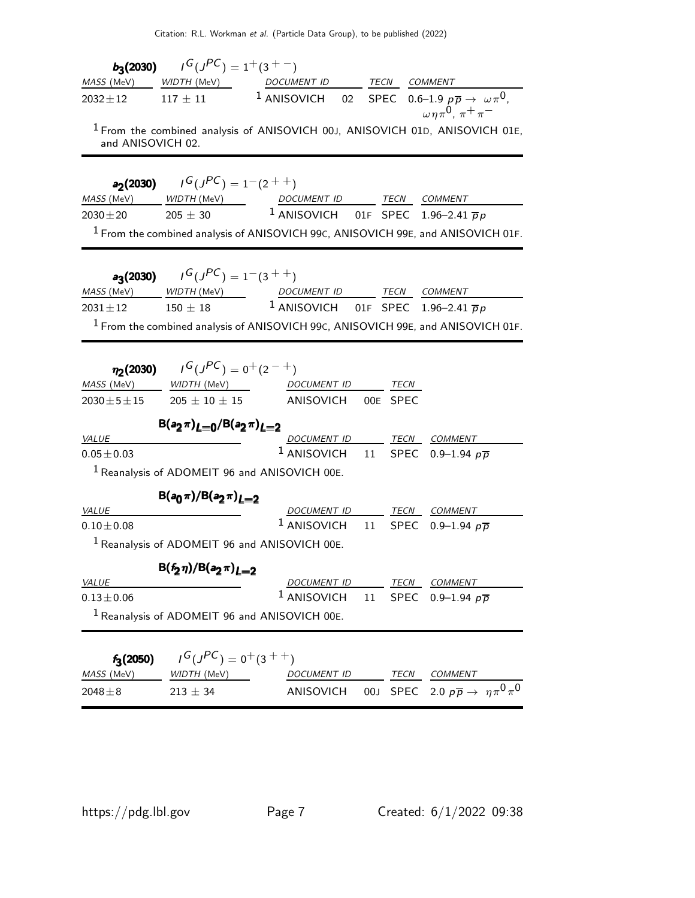| $b_3(2030)$         | $I^G(J^{PC}) = 1^+(3^{+-})$                            |                                                                                                                                                                         |             |                                                       |
|---------------------|--------------------------------------------------------|-------------------------------------------------------------------------------------------------------------------------------------------------------------------------|-------------|-------------------------------------------------------|
| MASS (MeV)          |                                                        | WIDTH (MeV) DOCUMENT ID TECN COMMENT                                                                                                                                    |             |                                                       |
| $2032 \pm 12$       | $117\pm11$                                             | <sup>1</sup> ANISOVICH 02 SPEC 0.6-1.9 $p\overline{p} \rightarrow \omega \pi^0$ ,                                                                                       |             | $\omega \eta \pi^0$ , $\pi^+ \pi^-$                   |
| and ANISOVICH 02.   |                                                        | <sup>1</sup> From the combined analysis of ANISOVICH 00J, ANISOVICH 01D, ANISOVICH 01E,                                                                                 |             |                                                       |
|                     | <b>a<sub>2</sub>(2030)</b> $I^G(J^{PC}) = 1^-(2^{++})$ |                                                                                                                                                                         |             |                                                       |
| MASS (MeV)          | WIDTH (MeV)                                            | DOCUMENT ID TECN COMMENT                                                                                                                                                |             |                                                       |
| $2030 \pm 20$       | $205 \pm 30$                                           | <sup>1</sup> ANISOVICH 01F SPEC 1.96-2.41 $\overline{p}p$                                                                                                               |             |                                                       |
|                     |                                                        | $1$ From the combined analysis of ANISOVICH 99 $c$ , ANISOVICH 99 $E$ , and ANISOVICH 01F.                                                                              |             |                                                       |
|                     | <b>a<sub>3</sub>(2030)</b> $I^G(J^{PC}) = 1^-(3^{++})$ |                                                                                                                                                                         |             |                                                       |
|                     |                                                        |                                                                                                                                                                         |             |                                                       |
|                     |                                                        | $\frac{MASS(MeV)}{2031 \pm 12}$ $\frac{WIDTH(MeV)}{150 \pm 18}$ $\frac{DOCUMENT ID}{1 \text{ ANISOVICH}}$ $\frac{TECN}{SPEC}$ $\frac{COMMENT}{1.96-2.41 \overline{p}p}$ |             |                                                       |
|                     |                                                        | $1$ From the combined analysis of ANISOVICH 99C, ANISOVICH 99E, and ANISOVICH 01F.                                                                                      |             |                                                       |
|                     |                                                        |                                                                                                                                                                         |             |                                                       |
|                     |                                                        |                                                                                                                                                                         |             |                                                       |
| $\eta_2(2030)$      | $J^G(J^{PC}) = 0^+(2^{-+})$                            |                                                                                                                                                                         |             |                                                       |
| MASS (MeV)          |                                                        |                                                                                                                                                                         | TECN        |                                                       |
| $2030 \pm 5 \pm 15$ |                                                        | $205\pm10\pm15$ ANISOVICH 00E SPEC                                                                                                                                      |             |                                                       |
|                     | $B(a_2 \pi)_{L=0}/B(a_2 \pi)_{L=2}$                    |                                                                                                                                                                         |             |                                                       |
| <i>VALUE</i>        |                                                        | DOCUMENT ID TECN COMMENT                                                                                                                                                |             |                                                       |
| $0.05 \pm 0.03$     |                                                        | $^1$ ANISOVICH<br>11                                                                                                                                                    | <b>SPEC</b> | 0.9–1.94 $p\bar{p}$                                   |
|                     |                                                        | $1$ Reanalysis of ADOMEIT 96 and ANISOVICH 00E.                                                                                                                         |             |                                                       |
|                     | $B(a_0 \pi)/B(a_2 \pi)_{L=2}$                          |                                                                                                                                                                         |             |                                                       |
| <i>VALUE</i>        |                                                        | DOCUMENT ID TECN COMMENT                                                                                                                                                |             |                                                       |
| $0.10 \pm 0.08$     |                                                        | $1$ ANISOVICH 11                                                                                                                                                        | <b>SPEC</b> | 0.9–1.94 $p\bar{p}$                                   |
|                     |                                                        | <sup>1</sup> Reanalysis of ADOMEIT 96 and ANISOVICH 00E.                                                                                                                |             |                                                       |
|                     |                                                        |                                                                                                                                                                         |             |                                                       |
| <b>VALUE</b>        | $B(f_2 \eta)/B(a_2 \pi)_{L=2}$                         | DOCUMENT ID TECN COMMENT                                                                                                                                                |             |                                                       |
| $0.13 \pm 0.06$     |                                                        | <sup>1</sup> ANISOVICH 11 SPEC 0.9-1.94 $p\overline{p}$                                                                                                                 |             |                                                       |
|                     |                                                        | $1$ Reanalysis of ADOMEIT 96 and ANISOVICH 00E.                                                                                                                         |             |                                                       |
|                     |                                                        |                                                                                                                                                                         |             |                                                       |
| $f_3(2050)$         | $I^G(J^{PC}) = 0^+(3^{++})$                            |                                                                                                                                                                         |             |                                                       |
| MASS (MeV)          | WIDTH (MeV)                                            | DOCUMENT ID                                                                                                                                                             | TECN        | <b>COMMENT</b>                                        |
| $2048 \pm 8$        | $213 \pm 34$                                           | 00J<br>ANISOVICH                                                                                                                                                        |             | SPEC 2.0 $p\overline{p} \rightarrow \eta \pi^0 \pi^0$ |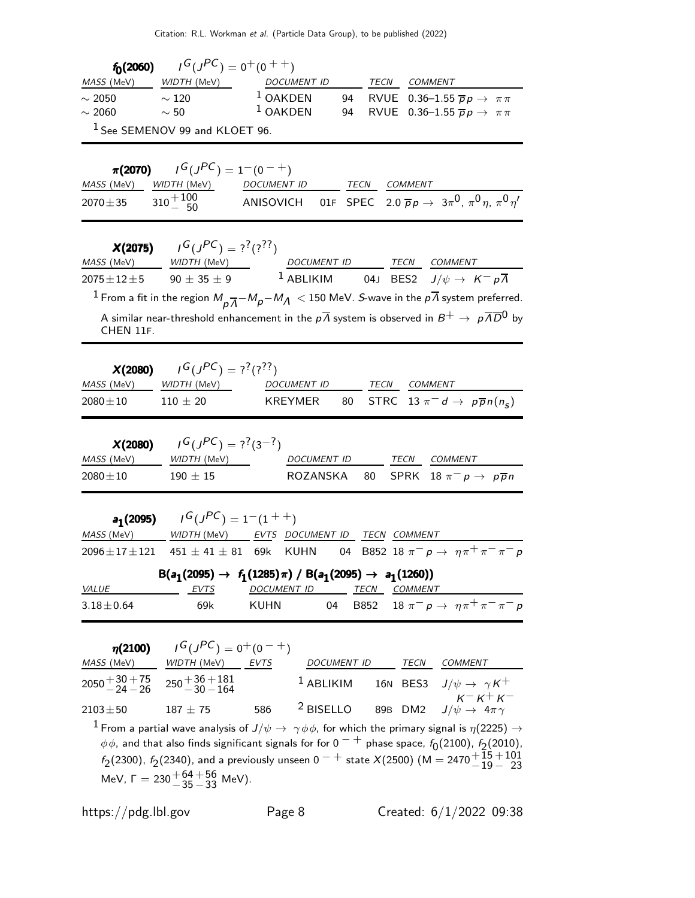| $f_0(2060)$       | $\overline{G}(J^{PC}) = 0^+(0^{++})$ |                    |      |                                                      |
|-------------------|--------------------------------------|--------------------|------|------------------------------------------------------|
| <i>MASS</i> (MeV) | <i>WIDTH (M</i> eV)                  | <i>DOCUMENT ID</i> | TECN | COMMENT                                              |
| $\sim 2050$       | $\sim$ 120                           | $1$ OAKDEN         |      | 94 RVUE 0.36-1.55 $\overline{p}p \rightarrow \pi\pi$ |
| $\sim 2060$       | $\sim$ 50                            | $1$ OAKDEN         |      | 94 RVUE 0.36-1.55 $\overline{p}p \rightarrow \pi\pi$ |
|                   | $1$ See SEMENOV 99 and KLOET 96.     |                    |      |                                                      |

 $\pi(2070)$  $I^G(J^{PC}) = 1^-(0^{-+})$ MASS (MeV) WIDTH (MeV) DOCUMENT ID TECN COMMENT  $\overline{2070\pm 35}$   $\overline{310 + 100 \atop -50}$  $^{+100}_{-50}$  ANISOVICH 01F SPEC 2.0  $\overline{p}p$  → 3π<sup>0</sup>, π<sup>0</sup>η, π<sup>0</sup>η'

| X(2075)             | $I^G(J^{PC}) = ?^?(?^?')$ |                                                                                                                                          |      |                                                        |
|---------------------|---------------------------|------------------------------------------------------------------------------------------------------------------------------------------|------|--------------------------------------------------------|
| MASS (MeV)          | WIDTH (MeV)               | <b>DOCUMENT ID</b>                                                                                                                       | TECN | COMMENT                                                |
| $2075 \pm 12 \pm 5$ | $90 \pm 35 \pm 9$         | $^1$ ABLIKIM                                                                                                                             |      | 04J BES2 $J/\psi \rightarrow K^- p \overline{\Lambda}$ |
|                     |                           | <sup>1</sup> From a fit in the region $M_{p\overline{A}}-M_{p}-M_{A} < 150$ MeV. <i>S</i> -wave in the $p\overline{A}$ system preferred. |      |                                                        |
| CHEN 11F.           |                           | A similar near-threshold enhancement in the $p\overline{\Lambda}$ system is observed in $B^+\to p\overline{\Lambda}\overline{D}{}^0$ by  |      |                                                        |

| X(2080)           | $G(J^{PC}) = ?^{?}$ (???) |             |      |                                              |
|-------------------|---------------------------|-------------|------|----------------------------------------------|
| <i>MASS</i> (MeV) | <i>WIDTH</i> (MeV)        | DOCUMENT ID | TECN | <i>COMMENT</i>                               |
| $2080 \pm 10$     | $110 + 20$                | KREYMER     |      | 80 STRC 13 $\pi^- d \to p\overline{p}n(n_s)$ |

|                               | <b>X(2080)</b> $I^G(J^{PC}) = ?^7(3^{-7})$ |                    |      |                                                 |
|-------------------------------|--------------------------------------------|--------------------|------|-------------------------------------------------|
| <i>MASS</i> (MeV) WIDTH (MeV) |                                            | <i>DOCUMENT ID</i> | TECN | <i>COMMENT</i>                                  |
| $2080 \pm 10$                 | $190 + 15$                                 |                    |      | ROZANSKA 80 SPRK 18 $\pi^-$ p $\rightarrow$ ppn |

|                                                                                                                | <b>a<sub>1</sub>(2095)</b> $I^G(J^{PC}) = 1^-(1^{++})$                       |             |    |      |                                                |  |
|----------------------------------------------------------------------------------------------------------------|------------------------------------------------------------------------------|-------------|----|------|------------------------------------------------|--|
| <i>MASS</i> (MeV)                                                                                              | WIDTH (MeV) EVTS DOCUMENT ID TECN COMMENT                                    |             |    |      |                                                |  |
| $2096 \pm 17 \pm 121$ 451 $\pm$ 41 $\pm$ 81 69k KUHN 04 B852 18 $\pi^- p \rightarrow \eta \pi^+ \pi^- \pi^- p$ |                                                                              |             |    |      |                                                |  |
|                                                                                                                | $B(a_1(2095) \rightarrow f_1(1285)\pi) / B(a_1(2095) \rightarrow a_1(1260))$ |             |    |      |                                                |  |
| <i>VALUE</i>                                                                                                   | EVTS                                                                         | DOCUMENT ID |    | TECN | <i>COMMENT</i>                                 |  |
| $3.18 \pm 0.64$                                                                                                | 69k                                                                          | KUHN        | 04 |      | B852 18 $\pi^- p \to \eta \pi^+ \pi^- \pi^- p$ |  |

| $\eta(2100)$                                                       | $I^G(J^{PC}) = 0^+(0^{-+})$                               |             |             |      |                                                                                                                                      |
|--------------------------------------------------------------------|-----------------------------------------------------------|-------------|-------------|------|--------------------------------------------------------------------------------------------------------------------------------------|
| MASS (MeV)                                                         | WIDTH (MeV)                                               | <b>EVTS</b> | DOCUMENT ID | TECN | COMMENT                                                                                                                              |
| $2050 + \frac{30 + 75}{24 - 26}$ $250 + \frac{36 + 181}{20 - 164}$ |                                                           |             | $1$ ABLIKIM |      | 16N BES3 $J/\psi \rightarrow \ \gamma K^+$                                                                                           |
| $2103 \pm 50$                                                      | $187 \pm 75$                                              | 586         | $2$ BISELLO |      | $K^- K^+ K^-$<br>89B DM2 $J/\psi \rightarrow 4\pi \gamma$                                                                            |
|                                                                    |                                                           |             |             |      | $^{-1}$ From a partial wave analysis of $J/\psi\rightarrow~\gamma\phi\phi$ , for which the primary signal is $\eta(2225)\rightarrow$ |
|                                                                    |                                                           |             |             |      | $\phi\phi$ , and that also finds significant signals for for 0 $^-$ + phase space, $f_0(2100)$ , $f_2(2010)$ ,                       |
|                                                                    |                                                           |             |             |      | $f_2(2300)$ , $f_2(2340)$ , and a previously unseen $0^{-}$ state $X(2500)$ (M = 2470 $^{+15}_{-19}$ + 23                            |
|                                                                    | MeV, $\Gamma = 230 \frac{+64}{-35} \frac{+56}{-33}$ MeV). |             |             |      |                                                                                                                                      |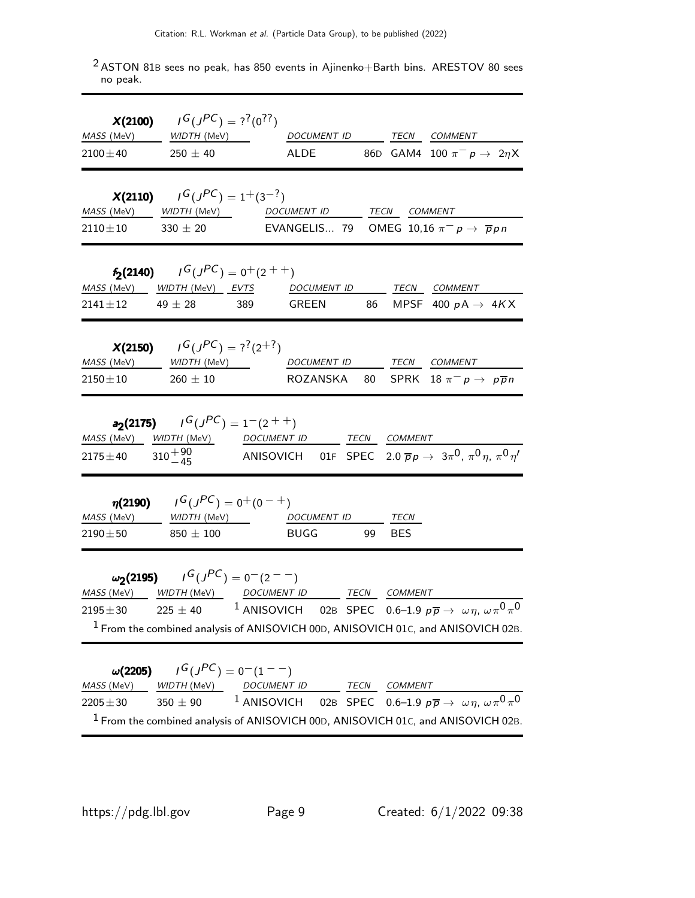|                                               | <b>X(2100)</b> $I^G(J^{PC}) = ?^?({0}^{?7})$                                                                                                                                                                                                                                                                                        |             |  |                                                                                                     |
|-----------------------------------------------|-------------------------------------------------------------------------------------------------------------------------------------------------------------------------------------------------------------------------------------------------------------------------------------------------------------------------------------|-------------|--|-----------------------------------------------------------------------------------------------------|
|                                               | MASS (MeV) WIDTH (MeV) DOCUMENT ID TECN COMMENT<br>$2100 \pm 40$ 250 $\pm$ 40                                                                                                                                                                                                                                                       |             |  | ALDE 86D GAM4 100 $\pi^ p \to 2\eta$ X                                                              |
|                                               | <b>X(2110)</b> $I^G(J^{PC}) = 1^+(3^{-?})$<br>MASS (MeV) WIDTH (MeV) DOCUMENT ID TECN COMMENT<br>$2110 \pm 10$ 330 $\pm$ 20 EVANGELIS 79 OMEG 10,16 $\pi^- p \to \bar{p} p n$                                                                                                                                                       |             |  |                                                                                                     |
|                                               | <b>f<sub>2</sub>(2140)</b> $I^G(J^{PC}) = 0^+(2^{++})$<br>MASS (MeV) WIDTH (MeV) EVTS DOCUMENT ID TECN COMMENT<br>$2141 \pm 12$ 49 $\pm 28$ 389 GREEN 86 MPSF 400 $pA \rightarrow 4KX$                                                                                                                                              |             |  |                                                                                                     |
|                                               | <b>X(2150)</b> $I^G(J^{PC}) = ?^2(2^{+7})$<br>$2150\pm10$ $260\,\pm\,10$                                                                                                                                                                                                                                                            |             |  | ROZANSKA 80 SPRK 18 $\pi^ p \to p \overline{p} n$                                                   |
|                                               | <b>a<sub>2</sub>(2175)</b> $I^G(J^{PC}) = 1^-(2^{++})$<br><u>MASS (MeV) WIDTH (MeV) DOCUMENT ID TECN COMMENT</u><br>2175±40 310 $^{+90}_{-45}$ ANISOVICH 01F SPEC 2.0 $\bar{p}p \to 3\pi^0$ , $\pi^0 \eta$ , $\pi^0 \eta'$                                                                                                          |             |  |                                                                                                     |
| $2190 \pm 50$ 850 $\pm$ 100                   | $\eta(2190)$ $I^G(J^{PC}) = 0^+(0^-+)$<br>MASS (MeV) WIDTH (MeV) DOCUMENT ID TECN                                                                                                                                                                                                                                                   | BUGG 99 BES |  |                                                                                                     |
|                                               | $\omega_2(2195)$ $I^G(J^{PC}) = 0^-(2^{--})$<br>MASS (MeV) WIDTH (MeV) DOCUMENT ID TECN COMMENT<br>2195 $\pm$ 30 225 $\pm$ 40 <sup>1</sup> ANISOVICH 02B SPEC 0.6-1.9 $p\overline{p} \rightarrow \omega \eta$ , $\omega \pi^0 \pi^0$<br><sup>1</sup> From the combined analysis of ANISOVICH 00D, ANISOVICH 01c, and ANISOVICH 02B. |             |  |                                                                                                     |
| $\omega(2205)$<br>MASS (MeV)<br>$2205 \pm 30$ | $I^G(J^{PC}) = 0(1 - 1)$<br>WIDTH (MeV) DOCUMENT ID TECN COMMENT<br>$350 \pm 90$<br>$1$ From the combined analysis of ANISOVICH 00D, ANISOVICH 01C, and ANISOVICH 02B.                                                                                                                                                              |             |  | <sup>1</sup> ANISOVICH 02B SPEC 0.6-1.9 $p\overline{p} \rightarrow \omega \eta, \omega \pi^0 \pi^0$ |

 $2$  ASTON 81B sees no peak, has 850 events in Ajinenko+Barth bins. ARESTOV 80 sees no peak.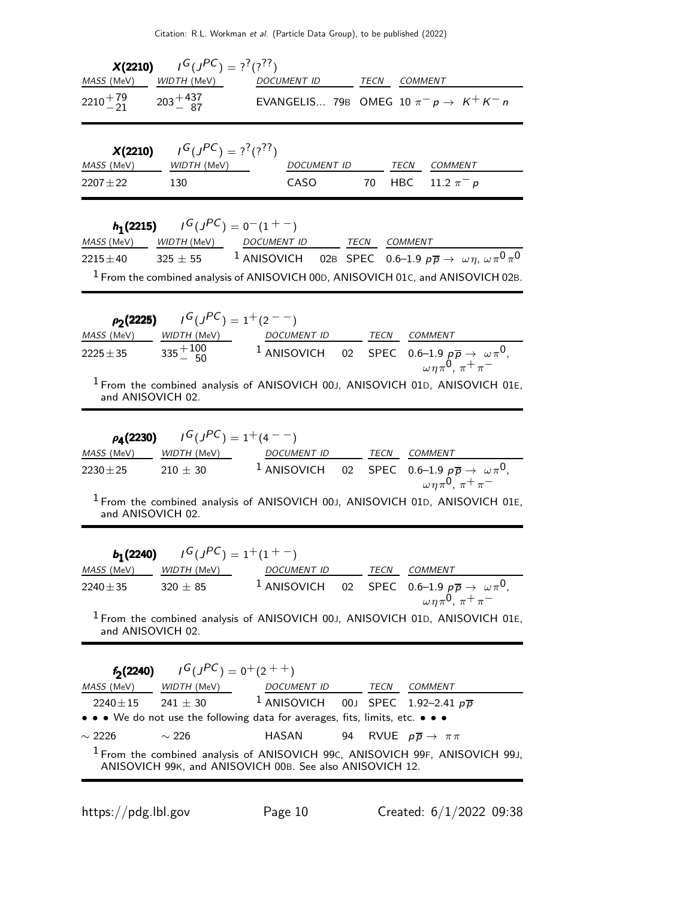|                                       | <b>X(2210)</b> $I^G(J^{PC}) = ?^?(?^?')$ |  |                                                       |
|---------------------------------------|------------------------------------------|--|-------------------------------------------------------|
|                                       | MASS (MeV) WIDTH (MeV) DOCUMENT ID       |  | TECN COMMENT                                          |
| $2210^{+79}_{-21}$ $203^{+437}_{-87}$ |                                          |  | EVANGELIS 79B OMEG 10 $\pi^- p \rightarrow K^+ K^- n$ |

|                               | <b>X(2210)</b> $I^G(J^{PC}) = ?^7(?)^7$ |             |      |                       |
|-------------------------------|-----------------------------------------|-------------|------|-----------------------|
| <i>MASS</i> (MeV) WIDTH (MeV) |                                         | DOCUMENT ID | TECN | <i>COMMENT</i>        |
| $2207 + 22$                   | 130                                     | CASO        |      | 70 HBC 11.2 $\pi^-$ p |

|             |                | <b>h</b> <sub>1</sub> (2215) $I^G(J^{PC}) = 0^-(1^+)$ |      |                                                                                                     |
|-------------|----------------|-------------------------------------------------------|------|-----------------------------------------------------------------------------------------------------|
|             |                | MASS (MeV) WIDTH (MeV) DOCUMENT ID                    | TECN | <i>COMMENT</i>                                                                                      |
| $2215 + 40$ | $325\,\pm\,55$ |                                                       |      | <sup>1</sup> ANISOVICH 02B SPEC 0.6–1.9 $p\overline{p} \rightarrow \omega \eta, \omega \pi^0 \pi^0$ |
|             |                |                                                       |      | $1$ From the combined analysis of ANISOVICH 00D, ANISOVICH 01c, and ANISOVICH 02B.                  |

|                   | $\rho_2(2225)$ $I^G(J^{PC}) = 1^+(2^{--})$ |                    |      |                                                                                                                          |
|-------------------|--------------------------------------------|--------------------|------|--------------------------------------------------------------------------------------------------------------------------|
| MASS (MeV)        | <i>WIDTH</i> (MeV)                         | <i>DOCUMENT ID</i> | TECN | COMMENT                                                                                                                  |
| $2225 \pm 35$     | $335 + 100$                                |                    |      | <sup>1</sup> ANISOVICH 02 SPEC 0.6-1.9 $p\overline{p} \rightarrow \omega \pi^0$ ,<br>$\omega \eta \pi^0$ , $\pi^+ \pi^-$ |
| and ANISOVICH 02. |                                            |                    |      | <sup>1</sup> From the combined analysis of ANISOVICH 00J, ANISOVICH 01D, ANISOVICH 01E,                                  |

|                   | $\rho_{4}(2230)$ $I^{G}(J^{PC}) = 1^{+}(4^{--})$ |             |      |                                                                                                                              |
|-------------------|--------------------------------------------------|-------------|------|------------------------------------------------------------------------------------------------------------------------------|
| <i>MASS</i> (MeV) | <i>WIDTH (</i> MeV)                              | DOCUMENT ID | TECN | <i>COMMENT</i>                                                                                                               |
| $2230 + 25$       | $210 + 30$                                       |             |      | <sup>1</sup> ANISOVICH 02 SPEC 0.6-1.9 $p\overline{p} \rightarrow \omega \pi^0$ ,                                            |
|                   |                                                  |             |      | $\omega \eta \pi^0$ , $\pi^+ \pi^-$<br>$\frac{1}{2}$ From the combined analysis of ANISOVICH 001 ANISOVICH 01D ANISOVICH 01E |

From the combined analysis of ANISOVICH 00J, ANISOVICH 01D, ANISOVICH 01E, and ANISOVICH 02.

|                               | <b>b</b> <sub>1</sub> (2240) $I^G(J^{PC}) = 1^+(1^+-)$ |             |      |                                                                                       |
|-------------------------------|--------------------------------------------------------|-------------|------|---------------------------------------------------------------------------------------|
| <i>MASS</i> (MeV) WIDTH (MeV) |                                                        | DOCUMENT ID | TECN | <i>COMMENT</i>                                                                        |
| $2240 \pm 35$                 | $320 \pm 85$                                           |             |      | <sup>1</sup> ANISOVICH 02 SPEC 0.6-1.9 $p\overline{p} \rightarrow \omega \pi^0$ ,     |
|                               |                                                        |             |      | $\omega \eta \pi^0$ , $\pi^+ \pi^-$                                                   |
|                               |                                                        |             |      | $\frac{1}{2}$ From the combined analysis of ANISOVICH 001 ANISOVICH 010 ANISOVICH 01E |

1 From the combined analysis of ANISOVICH 00J, ANISOVICH 01D, ANISOVICH 01E, and ANISOVICH 02.

|             | <b>f<sub>2</sub>(2240)</b> $I^G(J^{PC}) = 0^+(2^{++})$                        |                                                   |             |                                                                                         |
|-------------|-------------------------------------------------------------------------------|---------------------------------------------------|-------------|-----------------------------------------------------------------------------------------|
|             | <i>MASS</i> (MeV) WIDTH (MeV)                                                 | <i>DOCUMENT ID</i>                                | <b>TECN</b> | COMMENT                                                                                 |
|             | 2240±15 241 ± 30 <sup>1</sup> ANISOVICH 00J SPEC 1.92-2.41 $p\overline{p}$    |                                                   |             |                                                                                         |
|             | • • • We do not use the following data for averages, fits, limits, etc. • • • |                                                   |             |                                                                                         |
| $\sim$ 2226 | $\sim$ 226                                                                    | HASAN 94 RVUE $p\overline{p} \rightarrow \pi \pi$ |             |                                                                                         |
|             | ANISOVICH 99K, and ANISOVICH 00B. See also ANISOVICH 12.                      |                                                   |             | <sup>1</sup> From the combined analysis of ANISOVICH 99C, ANISOVICH 99F, ANISOVICH 99J, |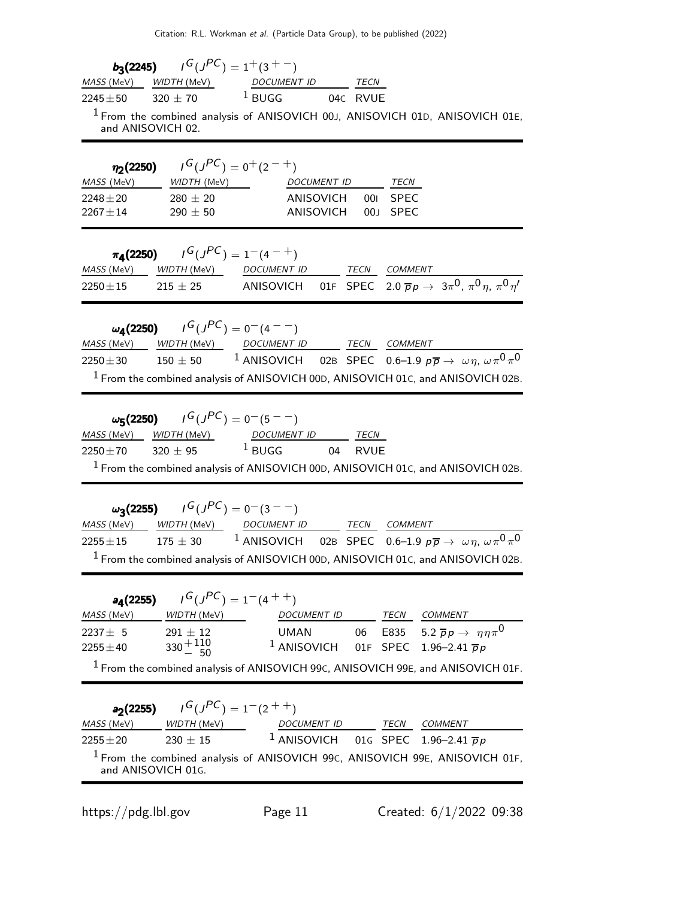| <b>b<sub>3</sub>(2245)</b> $I^G(J^{PC}) = 1^+(3^{+-})$<br>WIDTH (MeV) DOCUMENT ID TECN<br>MASS (MeV)<br><sup>1</sup> BUGG 04C RVUE<br>$320 \pm 70$<br>$2245 \pm 50$<br><sup>1</sup> From the combined analysis of ANISOVICH 00J, ANISOVICH 01D, ANISOVICH 01E,<br>and ANISOVICH 02.                                                                                                                            |  |
|----------------------------------------------------------------------------------------------------------------------------------------------------------------------------------------------------------------------------------------------------------------------------------------------------------------------------------------------------------------------------------------------------------------|--|
| $I^G(J^{PC}) = 0^+(2^{-+})$<br>$\eta_2(2250)$<br>MASS (MeV) WIDTH (MeV) DOCUMENT ID TECN<br>280 $\pm$ 20<br>ANISOVICH<br><b>SPEC</b><br>$2248 \pm 20$<br>001<br>$2267 \pm 14$<br>$290 \pm 50$<br>ANISOVICH<br>00J<br><b>SPEC</b>                                                                                                                                                                               |  |
| $\pi_4(2250)$ $I^G(J^{PC}) = 1^-(4^{-+})$<br>MASS (MeV) WIDTH (MeV) DOCUMENT ID TECN COMMENT<br>2250 ± 15 = 215 ± 25 ANISOVICH 01F SPEC 2.0 $\overline{p}p \to 3\pi^0$ , $\pi^0 \eta$ , $\pi^0 \eta'$                                                                                                                                                                                                          |  |
| $\omega_{A}(2250)$ $I^{G}(J^{PC}) = 0^{-}(4^{--})$<br>MASS (MeV) WIDTH (MeV) DOCUMENT ID TECN COMMENT<br>$150\pm50$ 1 ANISOVICH 02B SPEC 0.6-1.9 $p\overline{p}\rightarrow\ \omega\eta,\ \omega\pi^{0}\pi^{0}$<br>$2250 \pm 30$<br><sup>1</sup> From the combined analysis of ANISOVICH 00D, ANISOVICH 01c, and ANISOVICH 02B.                                                                                 |  |
| $\omega_5(2250)$ $I^G(J^{PC}) = 0^-(5^{--})$<br>$\frac{MASS (MeV)}{2250 \pm 70}$ $\frac{WDTH (MeV)}{320 \pm 95}$ $\frac{DCUMENT ID}{BUGG}$ $\frac{TECN}{RVUE}$<br><sup>1</sup> From the combined analysis of ANISOVICH 00D, ANISOVICH 01C, and ANISOVICH 02B.                                                                                                                                                  |  |
| $\omega_3(2255)$ $I^G(J^{PC}) = 0^-(3^{--})$<br>WIDTH (MeV) DOCUMENT ID TECN COMMENT<br><i>MASS</i> (MeV)<br>175 $\pm$ 30 $^{-1}$ ANISOVICH 02B SPEC 0.6–1.9 p $\overline{p} \rightarrow \ \omega \eta, \ \omega \pi^0 \pi^0$<br>$2255 \pm 15$<br><sup>1</sup> From the combined analysis of ANISOVICH 00D, ANISOVICH 01C, and ANISOVICH 02B.                                                                  |  |
| $I^G(J^{PC}) = 1-(4^{++})$<br>$a_4(2255)$<br>DOCUMENT ID TECN COMMENT<br>MASS (MeV)<br><i>WIDTH (M</i> eV)<br>06 E835 5.2 $\overline{p}p \rightarrow \eta \eta \pi^0$<br>$291 \pm 12$<br><b>UMAN</b><br>$2237 + 5$<br>$330 + 110$<br><sup>1</sup> ANISOVICH 01F SPEC 1.96-2.41 $\overline{p}p$<br>$2255 \pm 40$<br><sup>1</sup> From the combined analysis of ANISOVICH 99C, ANISOVICH 99E, and ANISOVICH 01F. |  |
| $J^G(J^{PC}) = 1-(2^{++})$<br>$a_2(2255)$<br>MASS (MeV)<br><i>WIDTH (M</i> eV)<br>DOCUMENT ID TECN COMMENT<br><sup>1</sup> ANISOVICH 01G SPEC 1.96-2.41 $\overline{p}p$<br>$230 \pm 15$<br>$2255 \pm 20$<br><sup>1</sup> From the combined analysis of ANISOVICH 99c, ANISOVICH 99E, ANISOVICH 01F,<br>and ANISOVICH 01G.                                                                                      |  |

https://pdg.lbl.gov Page 11 Created: 6/1/2022 09:38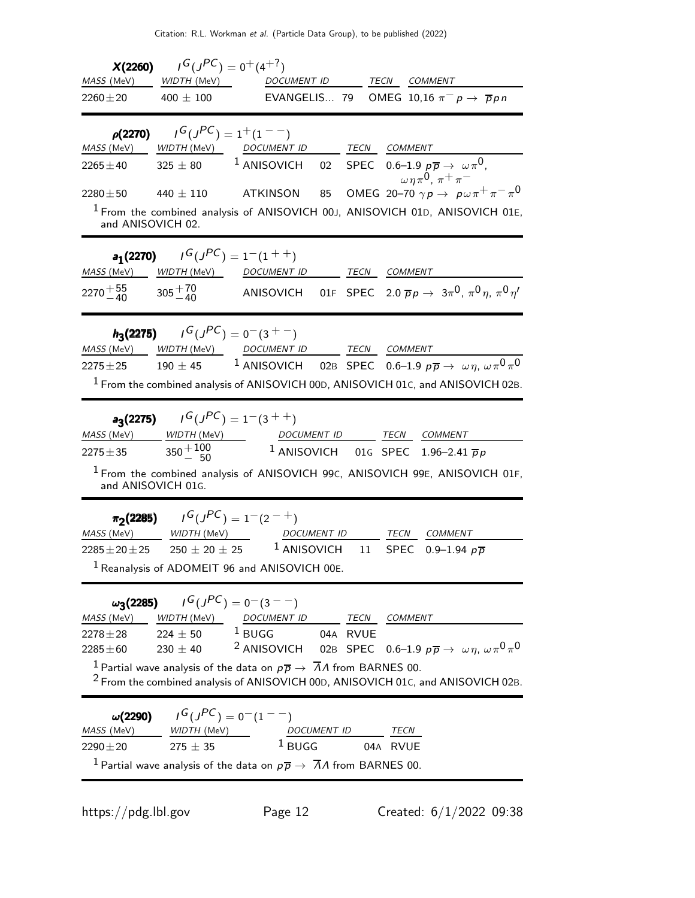| X(2260)<br>MASS (MeV)                                             | $I^G(J^{PC}) = 0^+(4^{+?})$<br><i>WIDTH</i> (MeV)                                                      | DOCUMENT ID                                                                                                                                                                                                                                                                                                        |    | TECN COMMENT        |                                                                                                                                                                                                                                                           |
|-------------------------------------------------------------------|--------------------------------------------------------------------------------------------------------|--------------------------------------------------------------------------------------------------------------------------------------------------------------------------------------------------------------------------------------------------------------------------------------------------------------------|----|---------------------|-----------------------------------------------------------------------------------------------------------------------------------------------------------------------------------------------------------------------------------------------------------|
| $2260 \pm 20$                                                     | 400 $\pm$ 100                                                                                          |                                                                                                                                                                                                                                                                                                                    |    |                     | EVANGELIS 79 OMEG 10,16 $\pi^- p \to \bar{p} p n$                                                                                                                                                                                                         |
| MASS (MeV)<br>$2265 \pm 40$<br>$2280 \pm 50$<br>and ANISOVICH 02. | $\rho(2270)$ $I^G(J^{PC}) = 1^+(1^{--})$<br>$325 \pm 80$<br>440 $\pm$ 110                              | WIDTH (MeV) DOCUMENT ID TECN COMMENT<br>$1$ ANISOVICH<br>ATKINSON<br>85                                                                                                                                                                                                                                            |    |                     | 02 SPEC 0.6–1.9 $p\overline{p} \rightarrow \omega \pi^0$ ,<br>$\omega\eta\pi^0$ , $\pi^+\pi^-$<br>OMEG 20-70 $\gamma p \rightarrow p \omega \pi^+ \pi^- \pi^0$<br><sup>1</sup> From the combined analysis of ANISOVICH 00J, ANISOVICH 01D, ANISOVICH 01E, |
| <i>MASS</i> (MeV)<br>2270 $^{+55}_{-40}$                          | <b>a<sub>1</sub>(2270)</b> $I^G(J^{PC}) = 1^-(1^{++})$<br>$305 + \frac{70}{40}$                        | WIDTH (MeV) DOCUMENT ID TECN COMMENT                                                                                                                                                                                                                                                                               |    |                     | ANISOVICH 01F SPEC 2.0 $\overline{p}p \rightarrow 3\pi^0$ , $\pi^0 \eta$ , $\pi^0 \eta'$                                                                                                                                                                  |
| MASS (MeV)<br>$2275 + 25$                                         | $h_3(2275)$ $I^G(J^{PC}) = 0(3 + 1)$<br>$190 \pm 45$                                                   | WIDTH (MeV) DOCUMENT ID TECN COMMENT                                                                                                                                                                                                                                                                               |    |                     | <sup>1</sup> ANISOVICH 02B SPEC 0.6–1.9 $p\overline{p} \rightarrow \omega \eta, \omega \pi^0 \pi^0$<br><sup>1</sup> From the combined analysis of ANISOVICH 00D, ANISOVICH 01C, and ANISOVICH 02B.                                                        |
| <i>MASS</i> (MeV)<br>$2275 \pm 35$<br>and ANISOVICH 01G.          | <b>a<sub>3</sub>(2275)</b> $I^G(J^{PC}) = 1^-(3^{++})$<br>$W\rightarrow W\rightarrow W$<br>$350 + 100$ | DOCUMENT ID TECN COMMENT<br><sup>1</sup> ANISOVICH 01G SPEC 1.96-2.41 $\overline{p}p$                                                                                                                                                                                                                              |    |                     | <sup>1</sup> From the combined analysis of ANISOVICH 99c, ANISOVICH 99E, ANISOVICH 01F,                                                                                                                                                                   |
| MASS (MeV)                                                        | $\pi_2(2285)$ $I^G(J^{PC}) = 1^-(2^{-+})$<br>$WIDTH$ (MeV)                                             | <b>DOCUMENT ID</b><br>$2285 \pm 20 \pm 25$ $250 \pm 20 \pm 25$ $1$ ANISOVICH<br><sup>1</sup> Reanalysis of ADOMEIT 96 and ANISOVICH 00E.                                                                                                                                                                           | 11 | TECN<br><b>SPEC</b> | COMMENT<br>0.9–1.94 $p\bar{p}$                                                                                                                                                                                                                            |
| $\omega_3(2285)$<br>MASS (MeV)<br>$2278 \pm 28$<br>$2285 \pm 60$  | $230 \pm 40$                                                                                           | $I^G(J^{PC}) = 0(3^{--})$<br>$\frac{\text{WIDTH (MeV)}}{224 \pm 50}$ 1 BUGG 04A RVUE COMMENT<br><sup>2</sup> ANISOVICH 02B SPEC 0.6-1.9 $p\overline{p} \rightarrow \omega \eta, \omega \pi^0 \pi^0$<br><sup>1</sup> Partial wave analysis of the data on $p\overline{p} \rightarrow \overline{A}A$ from BARNES 00. |    |                     | <sup>2</sup> From the combined analysis of ANISOVICH 00D, ANISOVICH 01C, and ANISOVICH 02B.                                                                                                                                                               |
| $\omega(2290)$<br>MASS (MeV)<br>$2290 \pm 20$                     | $I^G(J^{PC})=0^-(1^{--})$<br>WIDTH (MeV)<br>$275 \pm 35$                                               | DOCUMENT ID<br>$1$ BUGG<br><sup>1</sup> Partial wave analysis of the data on $p\overline{p} \rightarrow \overline{\Lambda} \Lambda$ from BARNES 00.                                                                                                                                                                |    | TECN<br>04A RVUE    |                                                                                                                                                                                                                                                           |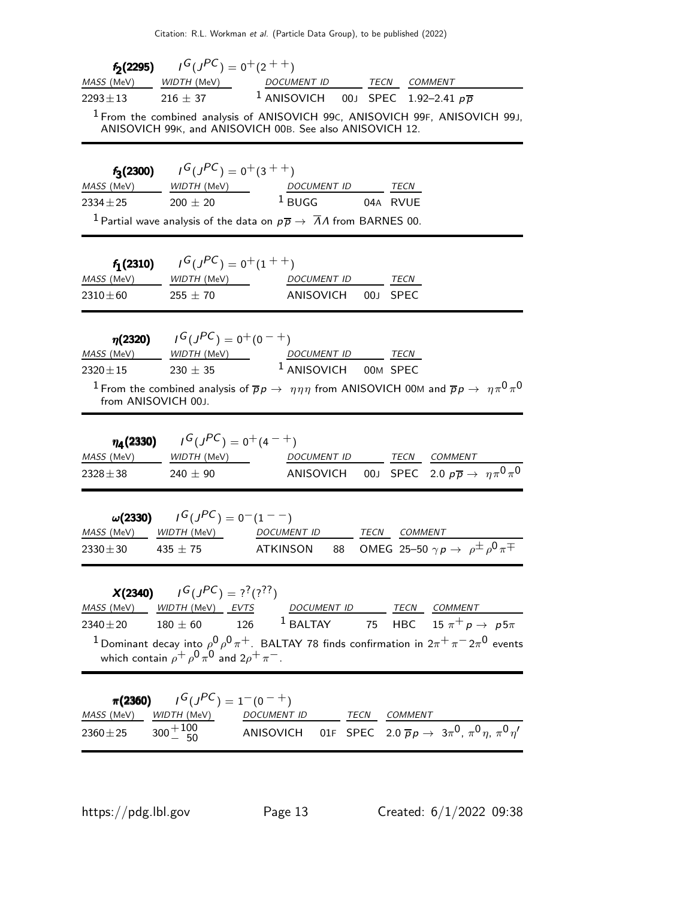|                                    | <b>f<sub>2</sub>(2295)</b> $I^G(J^{PC}) = 0^+(2^{++})$    |                                                                                                                                                     |
|------------------------------------|-----------------------------------------------------------|-----------------------------------------------------------------------------------------------------------------------------------------------------|
| MASS (MeV)                         |                                                           | WIDTH (MeV) DOCUMENT ID TECN COMMENT                                                                                                                |
| $2293 \pm 13$                      | $216 \pm 37$                                              | <sup>1</sup> ANISOVICH 00J SPEC 1.92-2.41 $p\overline{p}$                                                                                           |
|                                    |                                                           | <sup>1</sup> From the combined analysis of ANISOVICH 99C, ANISOVICH 99F, ANISOVICH 99J,<br>ANISOVICH 99K, and ANISOVICH 00B. See also ANISOVICH 12. |
|                                    | <b>f<sub>3</sub>(2300)</b> $I^G(J^{PC}) = 0^+(3^{++})$    |                                                                                                                                                     |
|                                    |                                                           | $\frac{MASS (MeV)}{2334 \pm 25}$ $\frac{WDTH (MeV)}{200 \pm 20}$ $\frac{DCUMENT ID}{BUGG}$ $\frac{TECN}{04A}$ RVUE                                  |
|                                    |                                                           |                                                                                                                                                     |
|                                    |                                                           | <sup>1</sup> Partial wave analysis of the data on $p\overline{p} \rightarrow \overline{\Lambda} \Lambda$ from BARNES 00.                            |
|                                    | $f_1(2310)$ $I^G(J^{PC}) = 0^+(1^{++})$                   |                                                                                                                                                     |
| MASS (MeV)                         | $WIDTH$ $(MeV)$                                           | DOCUMENT ID TECN                                                                                                                                    |
| 2310 $\pm$ 60                      | $255 \pm 70$                                              | ANISOVICH<br>00J SPEC                                                                                                                               |
|                                    | $\eta$ (2320) $I^G(J^{PC}) = 0^+(0^-+)$                   |                                                                                                                                                     |
| <i>MASS</i> (MeV)                  |                                                           |                                                                                                                                                     |
| $2320 \pm 15$                      |                                                           | $230 \pm 35$ <sup>1</sup> ANISOVICH 00M SPEC                                                                                                        |
| from ANISOVICH 00J.                |                                                           | <sup>1</sup> From the combined analysis of $\overline{p}p\to\eta\eta\eta$ from ANISOVICH 00M and $\overline{p}p\to\eta\pi^0\pi^0$                   |
| $\eta_{\rm A}(2330)$<br>MASS (MeV) | $J^G(J^{PC}) = 0^+(4^{-+})$<br><i>WIDTH (</i> MeV)        |                                                                                                                                                     |
| $2328 \pm 38$                      | $240 \pm 90$                                              | DOCUMENT ID TECN COMMENT<br>ANISOVICH 00J SPEC 2.0 $p\overline{p} \rightarrow \eta \pi^0 \pi^0$                                                     |
| $\omega(2330)$                     | $\overline{G(J^{PC})} = 0^{-}(1^{--})$                    |                                                                                                                                                     |
| <i>MASS</i> (MeV)                  |                                                           | WIDTH (MeV) DOCUMENT ID TECN COMMENT                                                                                                                |
| $2330 \pm 30$ 435 $\pm 75$         |                                                           | 88 OMEG 25-50 $\gamma p \rightarrow \rho^{\pm} \rho^0 \pi^{\mp}$<br>ATKINSON                                                                        |
|                                    | <b>X(2340)</b> $I^G(J^{PC}) = ?^7(?)^7$                   |                                                                                                                                                     |
|                                    |                                                           | MASS (MeV) WIDTH (MeV) EVTS DOCUMENT ID TECN COMMENT                                                                                                |
|                                    |                                                           | 2340 $\pm$ 20 180 $\pm$ 60 126 $^1$ BALTAY 75 HBC 15 $\pi^+$ p $\to$ p5 $\pi$                                                                       |
|                                    | which contain $\rho^+ \rho^0 \pi^0$ and $2\rho^+ \pi^-$ . | <sup>1</sup> Dominant decay into $\rho^0 \rho^0 \pi^+$ . BALTAY 78 finds confirmation in 2 $\pi^+ \pi^-$ 2 $\pi^0$ events                           |
| $\pi(2360)$                        | $I^G(J^{PC}) = 1^-(0^{-+})$                               |                                                                                                                                                     |
| MASS (MeV)                         | <i>WIDTH</i> (MeV)                                        | DOCUMENT ID TECN COMMENT                                                                                                                            |
| $2360 \pm 25$                      | $300 + {100 \over 50}$                                    | ANISOVICH 01F SPEC 2.0 $\overline{p}p \rightarrow 3\pi^0$ , $\pi^0 \eta$ , $\pi^0 \eta'$                                                            |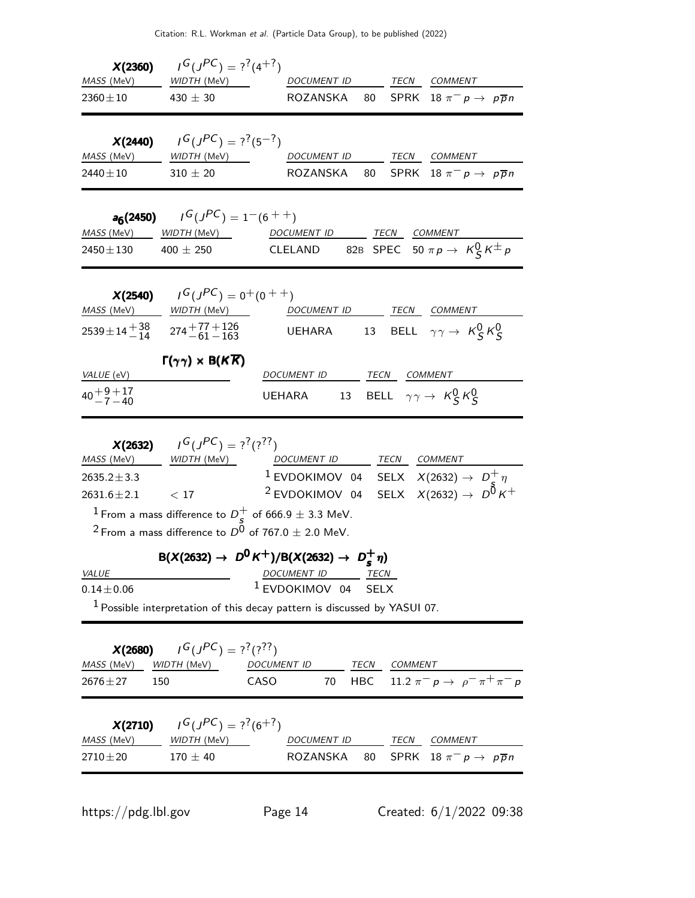| $2360 \pm 10$ 430 $\pm$ 30                           | <b>X(2360)</b> $I^G(J^{PC}) = ?^2(4^{+7})$                                                       | ROZANSKA 80 SPRK 18 $\pi^-$ p $\rightarrow$ p $\overline{p}$ n                                                                                                                                                                                                                                                                                                                         |
|------------------------------------------------------|--------------------------------------------------------------------------------------------------|----------------------------------------------------------------------------------------------------------------------------------------------------------------------------------------------------------------------------------------------------------------------------------------------------------------------------------------------------------------------------------------|
| $2440\pm10$                                          | <b>X(2440)</b> $I^G(J^{PC}) = ?^7(5^{-7})$<br>MASS (MeV) _______ WIDTH (MeV) _____<br>$310\pm20$ | DOCUMENT ID TECN COMMENT<br>ROZANSKA<br>SPRK $18 \pi^- p \rightarrow p \overline{p} n$<br>80                                                                                                                                                                                                                                                                                           |
| $2450 \pm 130$ 400 $\pm$ 250                         | <b>a<sub>6</sub>(2450)</b> $I^G(J^{PC}) = 1^-(6^{++})$                                           | MASS (MeV) WIDTH (MeV) DOCUMENT ID TECN COMMENT<br>CLELAND 82B SPEC 50 $\pi p \to K_S^0 K^{\pm} p$                                                                                                                                                                                                                                                                                     |
| MASS (MeV) WIDTH (MeV)                               | <b>X(2540)</b> $I^G(J^{PC}) = 0^+(0^{++})$                                                       | DOCUMENT ID TECN COMMENT<br>$2539 \pm 14 \frac{+38}{-14}$ $274 \frac{+77+126}{-61-163}$ UEHARA 13 BELL $\gamma \gamma \to K_S^0 K_S^0$                                                                                                                                                                                                                                                 |
| VALUE (eV)<br>$40 + 9 + 17$<br>$-7 - 40$             | $\Gamma(\gamma\gamma) \times B(K\overline{K})$                                                   | DOCUMENT ID TECN COMMENT<br>UEHARA 13 BELL $\gamma \gamma \rightarrow K_S^0 K_S^0$                                                                                                                                                                                                                                                                                                     |
| 2635.2 $\pm$ 3.3<br>$2631.6 \pm 2.1$<br><i>VALUE</i> | <b>X(2632)</b> $I^G(J^{PC}) = ?^7(?)^7$<br>MASS (MeV) WIDTH (MeV)<br>< 17                        | DOCUMENT ID TECN COMMENT<br><sup>1</sup> EVDOKIMOV 04 SELX $X(2632) \rightarrow D_c^+ \eta$<br><sup>2</sup> EVDOKIMOV 04 SELX $X(2632) \rightarrow D^{\vec{0}} K^+$<br><sup>1</sup> From a mass difference to $D_s^+$ of 666.9 $\pm$ 3.3 MeV.<br>$^2$ From a mass difference to $D^0$ of 767.0 $\pm$ 2.0 MeV.<br>$B(X(2632) \to D^0 K^+)/B(X(2632) \to D_s^+\eta)$<br>DOCUMENT ID TECN |
| $0.14 \pm 0.06$<br>MASS (MeV)<br>$2676 \pm 27$       | <b>X(2680)</b> $I^G(J^{PC}) = ?^7(?)^7$<br>WIDTH (MeV)<br>150                                    | <sup>1</sup> EVDOKIMOV 04 SELX<br>$1$ Possible interpretation of this decay pattern is discussed by YASUI 07.<br>TECN<br><b>DOCUMENT ID</b><br>COMMENT<br>HBC 11.2 $\pi^- p \to p^- \pi^+ \pi^- p$<br>CASO<br>70                                                                                                                                                                       |
| MASS (MeV)<br>$2710\!\pm\!20$                        | <b>X(2710)</b> $I^G(J^{PC}) = ?^7(6^{+7})$<br><u>WIDTH (MeV)</u><br>$170\pm40$                   | TECN COMMENT<br>DOCUMENT ID<br>ROZANSKA<br>SPRK $18 \pi^- p \rightarrow p \overline{p} n$<br>80                                                                                                                                                                                                                                                                                        |

https://pdg.lbl.gov Page 14 Created: 6/1/2022 09:38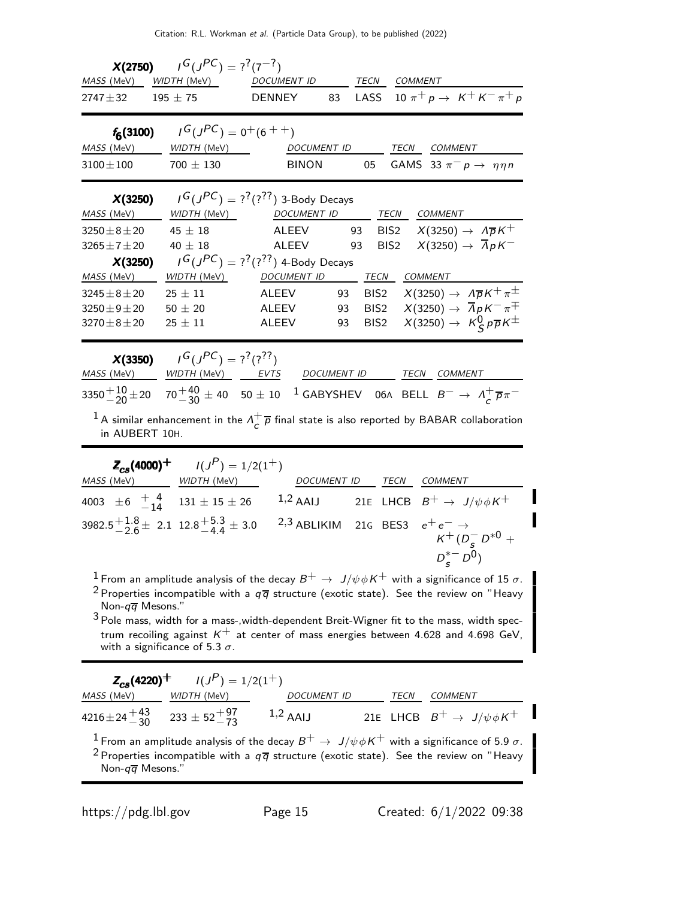| <i>MASS</i> (MeV)<br>$2747 \pm 32$ 195 $\pm 75$       | <b>X(2750)</b> $I^G(J^{PC}) = ?^7(7^{-7})$<br>WIDTH (MeV)                                         | DOCUMENT ID<br><b>DENNEY</b>                                    | 83 |                  | TECN COMMENT<br>LASS 10 $\pi^{+} p \to K^{+} K^{-} \pi^{+} p$                                                                        |
|-------------------------------------------------------|---------------------------------------------------------------------------------------------------|-----------------------------------------------------------------|----|------------------|--------------------------------------------------------------------------------------------------------------------------------------|
| <u>MASS (MeV)</u><br>$3100 \pm 100$                   | $f_6(3100)$ $I^G(J^{PC}) = 0^+(6^{++})$<br><i>WIDTH</i> (MeV) _____<br>$700 \pm 130$              | <b>BINON</b>                                                    |    | 05               | DOCUMENT ID TECN COMMENT<br>GAMS 33 $\pi^- p \rightarrow \eta \eta n$                                                                |
| X(3250)<br>MASS (MeV)                                 |                                                                                                   | $I^G(J^{PC}) = ?^?(?^?')$ 3-Body Decays                         |    |                  | WIDTH (MeV) MOCUMENT ID TECN COMMENT                                                                                                 |
| $3250 \pm 8 \pm 20$<br>$3265 \pm 7 \pm 20$<br>X(3250) | $45 \pm 18$<br>40 $\pm$ 18                                                                        | ALEEV 93<br>ALEEV 93<br>$I^G(J^{PC}) = ?^?(?^?')$ 4-Body Decays |    |                  | BIS2 $X(3250) \rightarrow \Lambda \overline{p} K^+$<br>BIS2 $X(3250) \rightarrow \overline{A}pK^{-}$                                 |
| <i>MASS</i> (MeV)                                     |                                                                                                   | WIDTH (MeV) DOCUMENT ID TECN COMMENT                            |    |                  |                                                                                                                                      |
| $3245 \pm 8 \pm 20$                                   | $25 \pm 11$                                                                                       |                                                                 |    |                  | ALEEV 93 BIS2 $X(3250) \rightarrow A\overline{p}K^{+}\pi^{\pm}$                                                                      |
| $3250 \pm 9 \pm 20$                                   | $50 \pm 20$                                                                                       | ALEEV 93                                                        |    |                  | BIS2 $X(3250) \rightarrow \overline{A}pK^{-}\pi^{\mp}$                                                                               |
| $3270 \pm 8 \pm 20$                                   | $25\,\pm\,11$                                                                                     | ALEEV                                                           | 93 | BIS <sub>2</sub> | $X(3250) \rightarrow K_S^0 p \overline{p} K^{\pm}$                                                                                   |
|                                                       | <b>X(3350)</b> $I^G(J^{PC}) = ?^?(?^?')$                                                          |                                                                 |    |                  | MASS (MeV) WIDTH (MeV) EVTS DOCUMENT ID TECN COMMENT                                                                                 |
|                                                       |                                                                                                   |                                                                 |    |                  | 3350 $^{+10}_{-20}$ ±20 70 $^{+40}_{-30}$ ± 40 50 ± 10 $^{-1}$ GABYSHEV 06A BELL $B^{-} \to \Lambda_c^{+} \overline{p} \pi^{-}$      |
| in AUBERT 10H.                                        |                                                                                                   |                                                                 |    |                  | <sup>1</sup> A similar enhancement in the $\Lambda_{\mathcal{L}}^+ \overline{p}$ final state is also reported by BABAR collaboration |
|                                                       | $Z_{cs}(4000)^+$ $I(J^P) = 1/2(1^+)$                                                              |                                                                 |    |                  | DOCUMENT ID TECN COMMENT                                                                                                             |
|                                                       |                                                                                                   |                                                                 |    |                  | 4003 ± 6 $\frac{1}{-14}$ 131 ± 15 ± 26 1,2 AAIJ 21E LHCB $B^+ \rightarrow J/\psi \phi K^+$                                           |
|                                                       | 3982.5 $\frac{1}{2}$ 6 ± 2.1 12.8 $\frac{1}{4}$ 4 ± 3.0 2,3 ABLIKIM 21G BES3 $e^+e^- \rightarrow$ |                                                                 |    |                  | $K^+(D^-_c D^{*0} +$<br>$D_{s}^{*-} D^{0}$                                                                                           |

<sup>1</sup> From an amplitude analysis of the decay  $B^+ \to J/\psi \phi K^+$  with a significance of 15  $\sigma$ . <sup>2</sup> Properties incompatible with a  $q\overline{q}$  structure (exotic state). See the review on "Heavy Non- $q\overline{q}$  Mesons."

 $^3$  Pole mass, width for a mass-,width-dependent Breit-Wigner fit to the mass, width spectrum recoiling against  $\mathcal{K}^+$  at center of mass energies between 4.628 and 4.698 GeV, with a significance of 5.3  $\sigma.$ 

|                                                        | $Z_{cs}(4220)^+$ $I(J^P) = 1/2(1^+)$ |             |      |                                                                                                                                                                                                                                        |
|--------------------------------------------------------|--------------------------------------|-------------|------|----------------------------------------------------------------------------------------------------------------------------------------------------------------------------------------------------------------------------------------|
| <i>MASS</i> (MeV)                                      | <i>WIDTH (M</i> eV)                  | DOCUMENT ID | TECN | <b>COMMENT</b>                                                                                                                                                                                                                         |
| $4216 \pm 24 + 43 \over 30$ $233 \pm 52 + 97 \over 73$ |                                      | $1,2$ AAIJ  |      | 21E LHCB $B^+ \rightarrow J/\psi \phi K^+$                                                                                                                                                                                             |
| Non- $q\overline{q}$ Mesons."                          |                                      |             |      | <sup>1</sup> From an amplitude analysis of the decay $B^+ \to J/\psi \phi K^+$ with a significance of 5.9 $\sigma$ .<br><sup>2</sup> Properties incompatible with a $q\overline{q}$ structure (exotic state). See the review on "Heavy |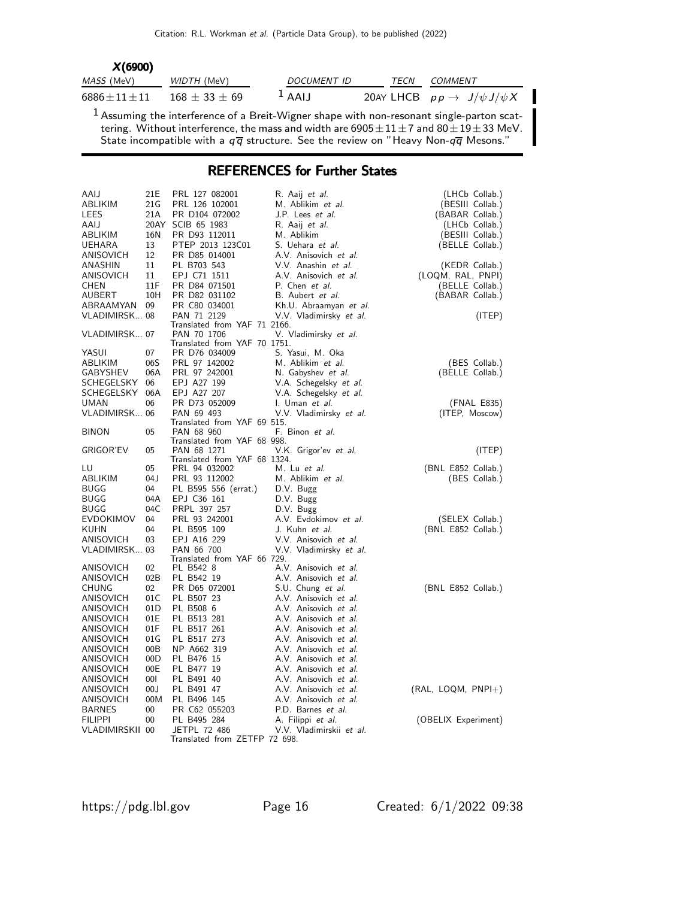| X(6900)          |                     |                                                                                                                                                                                                                     |             |                                                                                             |
|------------------|---------------------|---------------------------------------------------------------------------------------------------------------------------------------------------------------------------------------------------------------------|-------------|---------------------------------------------------------------------------------------------|
| MASS (MeV)       | WIDTH (MeV)         | <b>DOCUMENT ID</b>                                                                                                                                                                                                  | <i>TECN</i> | COMMENT                                                                                     |
| $6886 + 11 + 11$ | $168 \pm 33 \pm 69$ | $1$ AAIJ                                                                                                                                                                                                            |             | 20AY LHCB $pp \rightarrow J/\psi J/\psi X$                                                  |
|                  |                     | tering. Without interference, the mass and width are $6905 \pm 11 \pm 7$ and $80 \pm 19 \pm 33$ MeV.<br>State incompatible with a $q\overline{q}$ structure. See the review on "Heavy Non- $q\overline{q}$ Mesons." |             | $1$ Assuming the interference of a Breit-Wigner shape with non-resonant single-parton scat- |

## REFERENCES for Further States

| AAIJ             | 21E    | PRL 127 082001                                | R. Aaij <i>et al.</i>                 | (LHCb Collab.)       |
|------------------|--------|-----------------------------------------------|---------------------------------------|----------------------|
| ABLIKIM          | 21G    | PRL 126 102001                                | M. Ablikim et al.                     | (BESIII Collab.)     |
| LEES             | 21A    | PR D104 072002                                | J.P. Lees et al.                      | (BABAR Collab.)      |
| AAIJ             |        | 20AY SCIB 65 1983                             | R. Aaij et al.                        | (LHCb Collab.)       |
| ABLIKIM          | 16N    | PR D93 112011                                 | M. Ablikim                            | (BESIII Collab.)     |
| UEHARA           | 13     | PTEP 2013 123C01                              | S. Uehara <i>et al.</i>               | (BELLE Collab.)      |
| ANISOVICH        | 12     | PR D85 014001                                 | A.V. Anisovich et al.                 |                      |
| ANASHIN          | 11     | PL B703 543                                   | V.V. Anashin et al.                   | (KEDR Collab.)       |
| ANISOVICH        | 11     | EPJ C71 1511                                  | A.V. Anisovich et al.                 | (LOQM, RAL, PNPI)    |
| CHEN             | 11F    | PR D84 071501                                 | P. Chen et al.                        | (BELLE Collab.)      |
| AUBERT           | 10H    | PR D82 031102                                 | B. Aubert et al.                      | (BABAR Collab.)      |
| ABRAAMYAN        | 09     | PR C80 034001                                 | Kh.U. Abraamyan et al.                |                      |
| VLADIMIRSK 08    |        | PAN 71 2129                                   | V.V. Vladimirsky et al.               | (ITEP)               |
|                  |        | Translated from YAF 71 2166.                  |                                       |                      |
| VLADIMIRSK 07    |        | PAN 70 1706                                   | V. Vladimirsky et al.                 |                      |
|                  | 07     | Translated from YAF 70 1751.<br>PR D76 034009 |                                       |                      |
| YASUI<br>ABLIKIM | 06S    | PRL 97 142002                                 | S. Yasui, M. Oka<br>M. Ablikim et al. | (BES Collab.)        |
| GABYSHEV         | 06A    |                                               |                                       |                      |
|                  |        | PRL 97 242001                                 | N. Gabyshev et al.                    | (BELLE Collab.)      |
| SCHEGELSKY       | 06     | EPJ A27 199                                   | V.A. Schegelsky et al.                |                      |
| SCHEGELSKY       | 06A    | EPJ A27 207                                   | V.A. Schegelsky et al.                |                      |
| UMAN             | 06     | PR D73 052009                                 | I. Uman et al.                        | (FNAL E835)          |
| VLADIMIRSK 06    |        | PAN 69 493                                    | V.V. Vladimirsky et al.               | (ITEP, Moscow)       |
| <b>BINON</b>     | 05     | Translated from YAF 69 515.<br>PAN 68 960     |                                       |                      |
|                  |        | Translated from YAF 68 998.                   | F. Binon et al.                       |                      |
| <b>GRIGOR'EV</b> | 05     | PAN 68 1271                                   | V.K. Grigor'ev et al.                 | (ITEP)               |
|                  |        | Translated from YAF 68 1324.                  |                                       |                      |
| LU               | 05     | PRL 94 032002                                 | M. Lu et al.                          | (BNL E852 Collab.)   |
| ABLIKIM          | 04 J   | PRL 93 112002                                 | M. Ablikim et al.                     | (BES Collab.)        |
| BUGG             | 04     | PL B595 556 (errat.)                          | D.V. Bugg                             |                      |
| BUGG             | 04A    | EPJ C36 161                                   | D.V. Bugg                             |                      |
| BUGG             | 04C    | PRPL 397 257                                  | D.V. Bugg                             |                      |
| EVDOKIMOV        | 04     | PRL 93 242001                                 | A.V. Evdokimov et al.                 | (SELEX Collab.)      |
| KUHN             | 04     | PL B595 109                                   | J. Kuhn et al.                        | (BNL E852 Collab.)   |
| ANISOVICH        | 03     | EPJ A16 229                                   | V.V. Anisovich et al.                 |                      |
| VLADIMIRSK 03    |        | PAN 66 700                                    | V.V. Vladimirsky et al.               |                      |
|                  |        | Translated from YAF 66 729.                   |                                       |                      |
| ANISOVICH        | 02     | PL B542 8                                     | A.V. Anisovich et al.                 |                      |
| ANISOVICH        | 02B    | PL B542 19                                    | A.V. Anisovich et al.                 |                      |
| CHUNG            | 02     | PR D65 072001                                 | S.U. Chung et al.                     | (BNL E852 Collab.)   |
| ANISOVICH        | 01C    | PL B507 23                                    | A.V. Anisovich et al.                 |                      |
| ANISOVICH        | 01D    | PL B508 6                                     | A.V. Anisovich et al.                 |                      |
| ANISOVICH        | 01E    | PL B513 281                                   | A.V. Anisovich et al.                 |                      |
| ANISOVICH        | 01F    | PL B517 261                                   | A.V. Anisovich et al.                 |                      |
| ANISOVICH        | 01 G   | PL B517 273                                   | A.V. Anisovich et al.                 |                      |
| ANISOVICH        | 00B    | NP A662 319                                   | A.V. Anisovich et al.                 |                      |
| ANISOVICH        | 00D    | PL B476 15                                    | A.V. Anisovich et al.                 |                      |
| ANISOVICH        | 00E    | PL B477 19                                    | A.V. Anisovich et al.                 |                      |
| ANISOVICH        | 001    | PL B491 40                                    | A.V. Anisovich et al.                 |                      |
| ANISOVICH        | 00J    | PL B491 47                                    | A.V. Anisovich et al.                 | $(RAL, LOGM, PNPI+)$ |
| ANISOVICH        | 00M    | PL B496 145                                   | A.V. Anisovich et al.                 |                      |
| <b>BARNES</b>    | $00\,$ | PR C62 055203                                 | P.D. Barnes et al.                    |                      |
| <b>FILIPPI</b>   | 00     | PL B495 284                                   | A. Filippi et al.                     | (OBELIX Experiment)  |
| VLADIMIRSKII 00  |        | JETPL 72 486                                  | V.V. Vladimirskij et al.              |                      |
|                  |        | Translated from ZETFP 72 698.                 |                                       |                      |